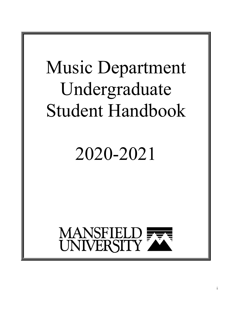# Music Department Undergraduate Student Handbook

# 2020-2021

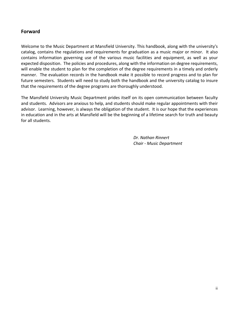### **Forward**

Welcome to the Music Department at Mansfield University. This handbook, along with the university's catalog, contains the regulations and requirements for graduation as a music major or minor. It also contains information governing use of the various music facilities and equipment, as well as your expected disposition. The policies and procedures, along with the information on degree requirements, will enable the student to plan for the completion of the degree requirements in a timely and orderly manner. The evaluation records in the handbook make it possible to record progress and to plan for future semesters. Students will need to study both the handbook and the university catalog to insure that the requirements of the degree programs are thoroughly understood.

The Mansfield University Music Department prides itself on its open communication between faculty and students. Advisors are anxious to help, and students should make regular appointments with their advisor. Learning, however, is always the obligation of the student. It is our hope that the experiences in education and in the arts at Mansfield will be the beginning of a lifetime search for truth and beauty for all students.

> *Dr. Nathan Rinnert Chair - Music Department*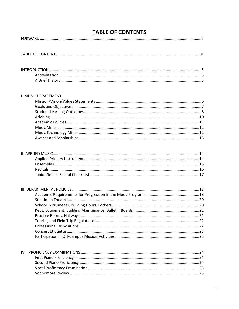# **TABLE OF CONTENTS**

| I. MUSIC DEPARTMENT |  |
|---------------------|--|
|                     |  |
|                     |  |
|                     |  |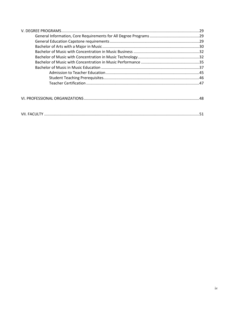|--|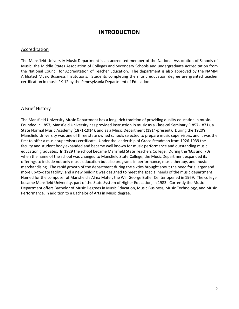## **INTRODUCTION**

#### Accreditation

The Mansfield University Music Department is an accredited member of the National Association of Schools of Music, the Middle States Association of Colleges and Secondary Schools and undergraduate accreditation from the National Council for Accreditation of Teacher Education. The department is also approved by the NAMM Affiliated Music Business Institutions. Students completing the music education degree are granted teacher certification in music PK-12 by the Pennsylvania Department of Education.

#### A Brief History

The Mansfield University Music Department has a long, rich tradition of providing quality education in music. Founded in 1857, Mansfield University has provided instruction in music as a Classical Seminary (1857-1871), a State Normal Music Academy (1871-1914), and as a Music Department (1914-present). During the 1920's Mansfield University was one of three state owned schools selected to prepare music supervisors, and it was the first to offer a music supervisors certificate. Under the leadership of Grace Steadman from 1926-1939 the faculty and student body expanded and became well known for music performance and outstanding music education graduates. In 1929 the school became Mansfield State Teachers College. During the '60s and '70s, when the name of the school was changed to Mansfield State College, the Music Department expanded its offerings to include not only music education but also programs in performance, music therapy, and music merchandising. The rapid growth of the department during the sixties brought about the need for a larger and more up-to-date facility, and a new building was designed to meet the special needs of the music department. Named for the composer of Mansfield's Alma Mater, the Will George Butler Center opened in 1969. The college became Mansfield University, part of the State System of Higher Education, in 1983. Currently the Music Department offers Bachelor of Music Degrees in Music Education, Music Business, Music Technology, and Music Performance, in addition to a Bachelor of Arts in Music degree.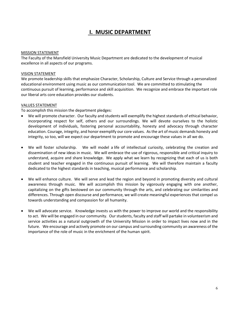# **I. MUSIC DEPARTMENT**

#### MISSION STATEMENT

The Faculty of the Mansfield University Music Department are dedicated to the development of musical excellence in all aspects of our programs.

#### VISION STATEMENT

We promote leadership skills that emphasize Character, Scholarship, Culture and Service through a personalized educational environment using music as our communication tool. We are committed to stimulating the continuous pursuit of learning, performance and skill acquisition. We recognize and embrace the important role our liberal arts core education provides our students.

#### VALUES STATEMENT

To accomplish this mission the department pledges:

- We will promote character. Our faculty and students will exemplify the highest standards of ethical behavior, incorporating respect for self, others and our surroundings. We will devote ourselves to the holistic development of individuals, fostering personal accountability, honesty and advocacy through character education. Courage, integrity, and honor exemplify our core values. As the art of music demands honesty and integrity, so too, will we expect our department to promote and encourage these values in all we do.
- We will foster scholarship. We will model a life of intellectual curiosity, celebrating the creation and dissemination of new ideas in music. We will embrace the use of rigorous, responsible and critical inquiry to understand, acquire and share knowledge. We apply what we learn by recognizing that each of us is both student and teacher engaged in the continuous pursuit of learning. We will therefore maintain a faculty dedicated to the highest standards in teaching, musical performance and scholarship.
- We will enhance culture. We will serve and lead the region and beyond in promoting diversity and cultural awareness through music. We will accomplish this mission by vigorously engaging with one another, capitalizing on the gifts bestowed on our community through the arts, and celebrating our similarities and differences. Through open discourse and performance, we will create meaningful experiences that compel us towards understanding and compassion for all humanity.
- We will advocate service. Knowledge invests us with the power to improve our world and the responsibility to act. We will be engaged in our community. Our students, faculty and staff will partake in volunteerism and service activities as a natural outgrowth of the University Mission in order to impact lives now and in the future. We encourage and actively promote on our campus and surrounding community an awareness of the importance of the role of music in the enrichment of the human spirit.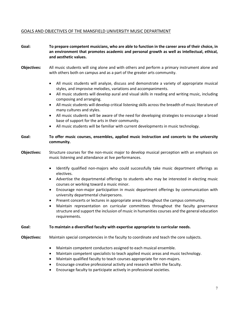### GOALS AND OBJECTIVES OF THE MANSFIELD UNIVERSITY MUSIC DEPARTMENT

| Goal:              | To prepare competent musicians, who are able to function in the career area of their choice, in<br>an environment that promotes academic and personal growth as well as intellectual, ethical,<br>and aesthetic values.                                                                                                                                                                                                                                                                                                                                                                                                                                                                                                     |
|--------------------|-----------------------------------------------------------------------------------------------------------------------------------------------------------------------------------------------------------------------------------------------------------------------------------------------------------------------------------------------------------------------------------------------------------------------------------------------------------------------------------------------------------------------------------------------------------------------------------------------------------------------------------------------------------------------------------------------------------------------------|
| <b>Objectives:</b> | All music students will sing alone and with others and perform a primary instrument alone and<br>with others both on campus and as a part of the greater arts community.                                                                                                                                                                                                                                                                                                                                                                                                                                                                                                                                                    |
|                    | All music students will analyze, discuss and demonstrate a variety of appropriate musical<br>$\bullet$<br>styles, and improvise melodies, variations and accompaniments.<br>All music students will develop aural and visual skills in reading and writing music, including<br>composing and arranging.<br>All music students will develop critical listening skills across the breadth of music literature of<br>$\bullet$<br>many cultures and styles.<br>All music students will be aware of the need for developing strategies to encourage a broad<br>$\bullet$<br>base of support for the arts in their community.<br>All music students will be familiar with current developments in music technology.<br>$\bullet$ |
| Goal:              | To offer music courses, ensembles, applied music instruction and concerts to the university<br>community.                                                                                                                                                                                                                                                                                                                                                                                                                                                                                                                                                                                                                   |
| <b>Objectives:</b> | Structure courses for the non-music major to develop musical perception with an emphasis on<br>music listening and attendance at live performances.                                                                                                                                                                                                                                                                                                                                                                                                                                                                                                                                                                         |
|                    | Identify qualified non-majors who could successfully take music department offerings as<br>$\bullet$<br>electives.<br>Advertise the departmental offerings to students who may be interested in electing music<br>$\bullet$<br>courses or working toward a music minor.<br>Encourage non-major participation in music department offerings by communication with<br>$\bullet$                                                                                                                                                                                                                                                                                                                                               |
|                    | university departmental chairpersons.<br>Present concerts or lectures in appropriate areas throughout the campus community.<br>٠<br>Maintain representation on curricular committees throughout the faculty governance<br>$\bullet$<br>structure and support the inclusion of music in humanities courses and the general education<br>requirements.                                                                                                                                                                                                                                                                                                                                                                        |
| Goal:              | To maintain a diversified faculty with expertise appropriate to curricular needs.                                                                                                                                                                                                                                                                                                                                                                                                                                                                                                                                                                                                                                           |
| <b>Objectives:</b> | Maintain special competencies in the faculty to coordinate and teach the core subjects.                                                                                                                                                                                                                                                                                                                                                                                                                                                                                                                                                                                                                                     |
|                    | Maintain competent conductors assigned to each musical ensemble.<br>$\bullet$<br>Maintain competent specialists to teach applied music areas and music technology.<br>$\bullet$<br>Maintain qualified faculty to teach courses appropriate for non-majors.<br>$\bullet$<br>Encourage creative professional activity and research within the faculty.<br>٠<br>Encourage faculty to participate actively in professional societies.<br>$\bullet$                                                                                                                                                                                                                                                                              |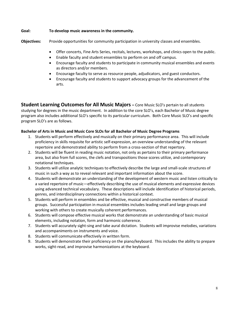#### **Goal: To develop music awareness in the community.**

**Objectives:** Provide opportunities for community participation in university classes and ensembles.

- Offer concerts, Fine Arts Series, recitals, lectures, workshops, and clinics open to the public.
- Enable faculty and student ensembles to perform on and off campus.
- Encourage faculty and students to participate in community musical ensembles and events as directors and/or members.
- Encourage faculty to serve as resource people, adjudicators, and guest conductors.
- Encourage faculty and students to support advocacy groups for the advancement of the arts.

**Student Learning Outcomes for All Music Majors –** Core Music SLO's pertain to all students studying for degrees in the music department. In addition to the core SLO's, each Bachelor of Music degree program also includes additional SLO's specific to its particular curriculum. Both Core Music SLO's and specific program SLO's are as follows.

#### **Bachelor of Arts in Music and Music Core SLOs for all Bachelor of Music Degree Programs**

- 1. Students will perform effectively and musically on their primary performance area. This will include proficiency in skills requisite for artistic self-expression, an overview understanding of the relevant repertoire and demonstrated ability to perform from a cross-section of that repertory.
- 2. Students will be fluent in reading music notation, not only as pertains to their primary performance area, but also from full scores, the clefs and transpositions those scores utilize, and contemporary notational techniques.
- 3. Students will utilize analytic techniques to effectively describe the large and small-scale structures of music in such a way as to reveal relevant and important information about the score.
- 4. Students will demonstrate an understanding of the development of western music and listen critically to a varied repertoire of music—effectively describing the use of musical elements and expressive devices using advanced technical vocabulary. These descriptions will include identification of historical periods, genres, and interdisciplinary connections within a historical context.
- 5. Students will perform in ensembles and be effective, musical and constructive members of musical groups. Successful participation in musical ensembles includes leading small and large groups and working with others to create musically coherent performances.
- 6. Students will compose effective musical works that demonstrate an understanding of basic musical elements, including notation, form and harmonic coherence.
- 7. Students will accurately sight-sing and take aural dictation. Students will improvise melodies, variations and accompaniments on instruments and voice.
- 8. Students will communicate effectively in written form.
- 9. Students will demonstrate their proficiency on the piano/keyboard. This includes the ability to prepare works, sight-read, and improvise harmonizations at the keyboard.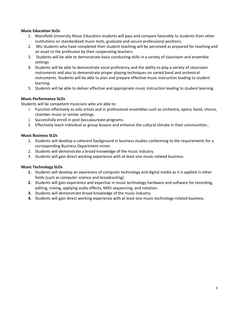#### **Music Education SLOs**

- 1. Mansfield University Music Education students will pass and compare favorably to students from other institutions on standardized music tests, graduate and secure professional positions.
- 2. MU students who have completed their student teaching will be perceived as prepared for teaching and an asset to the profession by their cooperating teachers.
- 3. Students will be able to demonstrate basic conducting skills in a variety of classroom and ensemble settings
- 4. Students will be able to demonstrate vocal proficiency and the ability to play a variety of classroom instruments and also to demonstrate proper playing techniques on varied band and orchestral instruments. Students will be able to plan and prepare effective music instruction leading to student learning.
- 5. Students will be able to deliver effective and appropriate music instruction leading to student learning.

#### **Music Performance SLOs**

Students will be competent musicians who are able to:

- 1. Function effectively as solo artists and in professional ensembles such as orchestra, opera, band, chorus, chamber music or similar settings.
- 2. Successfully enroll in post baccalaureate programs.
- 3. Effectively teach individual or group lessons and enhance the cultural climate in their communities..

#### **Music Business SLOs**

- 1. Students will develop a coherent background in business studies conforming to the requirements for a corresponding Business Department minor.
- 2. Students will demonstrate a broad knowledge of the music industry.
- 3. Students will gain direct working experience with at least one music-related business.

#### **Music Technology SLOs**

- **1.** Students will develop an awareness of computer technology and digital media as it is applied in other fields (such as computer science and broadcasting)
- **2.** Students will gain experience and expertise in music technology hardware and software for recording, editing, mixing, applying audio effects, MIDI sequencing, and notation.
- **3.** Students will demonstrate broad knowledge of the music industry.
- **4.** Students will gain direct working experience with at least one music technology-related business.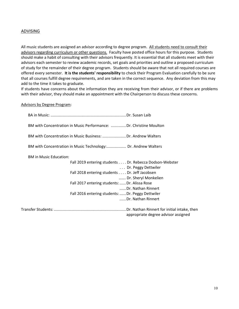#### ADVISING

All music students are assigned an advisor according to degree program. All students need to consult their advisors regarding curriculum or other questions. Faculty have posted office hours for this purpose. Students should make a habit of consulting with their advisors frequently. It is essential that all students meet with their advisors each semester to review academic records, set goals and priorities and outline a proposed curriculum of study for the remainder of their degree program. Students should be aware that not all required courses are offered every semester. **It is the students' responsibility** to check their Program Evaluation carefully to be sure that all courses fulfill degree requirements, and are taken in the correct sequence. Any deviation from this may add to the time it takes to graduate.

If students have concerns about the information they are receiving from their advisor, or if there are problems with their advisor, they should make an appointment with the Chairperson to discuss these concerns.

Advisors by Degree Program:

| BM with Concentration in Music Performance:  Dr. Christine Moulton |
|--------------------------------------------------------------------|
| BM with Concentration in Music Business:  Dr. Andrew Walters       |
| BM with Concentration in Music Technology: Dr. Andrew Walters      |
| <b>BM</b> in Music Education:                                      |
| Fall 2019 entering students Dr. Rebecca Dodson-Webster             |
| Dr. Peggy Dettwiler                                                |
| Fall 2018 entering students Dr. Jeff Jacobsen                      |
| Dr. Sheryl Monkelien                                               |
| Fall 2017 entering students:  Dr. Alissa Rose                      |
| Dr. Nathan Rinnert                                                 |
| Fall 2016 entering students:  Dr. Peggy Dettwiler                  |
| Dr. Nathan Rinnert                                                 |
| appropriate degree advisor assigned                                |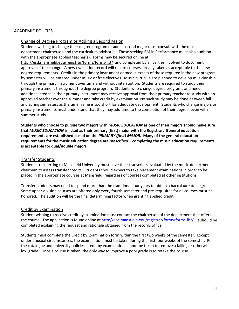#### ACADEMIC POLICIES

#### Change of Degree Program or Adding a Second Major

Students wishing to change their degree program or add a second major must consult with the music department chairperson and the curriculum advisor(s). Those seeking BM in Performance must also audition with the appropriate applied teacher(s). Forms may be secured online at

<http://esd.mansfield.edu/registrar/forms/forms-list/>and completed by all parties involved to document approval of the change. A new evaluation record will record courses already taken as acceptable to the new degree requirements. Credits in the primary instrument earned in excess of those required in the new program by semester will be entered under music or free electives. Music curricula are planned to develop musicianship through the primary instrument over time and without interruption. Students are required to study their primary instrument throughout the degree program. Students who change degree programs and need additional credits in their primary instrument may receive approval from their primary teacher to study with an approved teacher over the summer and take credit by examination. No such study may be done between fall and spring semesters as the time frame is too short for adequate development. Students who change majors or primary instruments must understand that they may add time to the completion of their degree, even with summer study.

**Students who choose to pursue two majors with** *MUSIC EDUCATION* **as one of their majors should make sure that** *MUSIC EDUCATION* **is listed as their primary (first) major with the Registrar. General education requirements are established based on the** *PRIMARY (first) MAJOR***. Many of the general education requirements for the music education degree are** *prescribed* **– completing the music education requirements is acceptable for dual/double majors.**

#### Transfer Students

Students transferring to Mansfield University must have their transcripts evaluated by the music department chairman to assess transfer credits. Students should expect to take placement examinations in order to be placed in the appropriate courses at Mansfield, regardless of courses completed at other institutions.

Transfer students may need to spend more than the traditional four years to obtain a baccalaureate degree. Some upper division courses are offered only every fourth semester and pre-requisites for all courses must be honored. The audition will be the final determining factor when granting applied credit.

#### Credit by Examination

Student wishing to receive credit by examination must contact the chairperson of the department that offers the course. The application is found online at [http://esd.mansfield.edu/registrar/forms/forms-list/.](http://esd.mansfield.edu/registrar/forms/forms-list/) It should be completed explaining the request and rationale obtained from the records office.

Students must complete the Credit by Examination form within the first two weeks of the semester. Except under unusual circumstances, the examination must be taken during the first four weeks of the semester. Per the catalogue and university policies, credit by examination cannot be taken to remove a failing or otherwise low grade. Once a course is taken, the only way to improve a poor grade is to retake the course.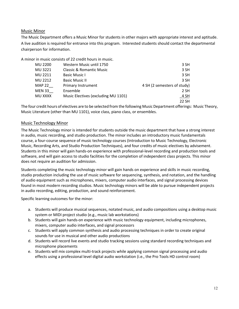#### Music Minor

The Music Department offers a Music Minor for students in other majors with appropriate interest and aptitude. A live audition is required for entrance into this program. Interested students should contact the departmental chairperson for information.

A minor in music consists of 22 credit hours in music.

| <b>MU 2200</b> | Western Music until 1750            | 3 SH                        |
|----------------|-------------------------------------|-----------------------------|
| MU 3221        | Classic & Romantic Music            | 3 SH                        |
| MU 2211        | <b>Basic Music I</b>                | 3 SH                        |
| MU 2212        | <b>Basic Music II</b>               | 3 SH                        |
| <b>MAP 22</b>  | Primary Instrument                  | 4 SH (2 semesters of study) |
| <b>MEN 33</b>  | Ensemble                            | 2 SH                        |
| MU XXXX        | Music Electives (excluding MU 1101) | 4 SH                        |
|                |                                     | 22 SH                       |

The four credit hours of electives are to be selected from the following Music Department offerings: Music Theory, Music Literature (other than MU 1101), voice class, piano class, or ensembles.

#### Music Technology Minor

The Music Technology minor is intended for students outside the music department that have a strong interest in audio, music recording, and studio production. The minor includes an introductory music fundamentals course, a four-course sequence of music technology courses (Introduction to Music Technology, Electronic Music, Recording Arts, and Studio Production Techniques), and four credits of music electives by advisement. Students in this minor will gain hands-on experience with professional-level recording and production tools and software, and will gain access to studio facilities for the completion of independent class projects. This minor does not require an audition for admission.

Students completing the music technology minor will gain hands on experience and skills in music recording, studio production including the use of music software for sequencing, synthesis, and notation, and the handling of audio equipment such as microphones, mixers, computer audio interfaces, and signal processing devices found in most modern recording studios. Music technology minors will be able to pursue independent projects in audio recording, editing, production, and sound reinforcement.

Specific learning outcomes for the minor:

- a. Students will produce musical sequences, notated music, and audio compositions using a desktop music system or MIDI project studio (e.g., music lab workstations)
- b. Students will gain hands-on experience with music technology equipment, including microphones, mixers, computer audio interfaces, and signal processors
- c. Students will apply common synthesis and audio processing techniques in order to create original sounds for use in musical and other audio productions
- d. Students will record live events and studio tracking sessions using standard recording techniques and microphone placements
- e. Students will mix complex multi-track projects while applying common signal processing and audio effects using a professional level digital audio workstation (i.e., the Pro Tools HD control room)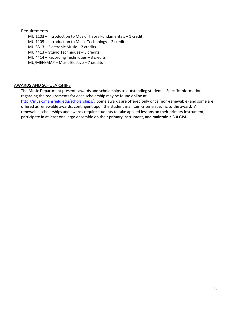#### Requirements

MU 1103 – Introduction to Music Theory Fundamentals – 1 credit. MU 1105 – Introduction to Music Technology – 2 credits MU 3313 – Electronic Music – 2 credits MU 4413 – Studio Techniques – 3 credits MU 4414 – Recording Techniques – 3 credits MU/MEN/MAP – Music Elective – 7 credits

#### AWARDS AND SCHOLARSHIPS

The Music Department presents awards and scholarships to outstanding students. Specific information regarding the requirements for each scholarship may be found online at [http://music.mansfield.edu/scholarships/.](http://music.mansfield.edu/scholarships/) Some awards are offered only once (non-renewable) and some are offered as renewable awards, contingent upon the student maintain criteria specific to the award. All renewable scholarships and awards require students to take applied lessons on their primary instrument, participate in at least one large ensemble on their primary instrument, and **maintain a 3.0 GPA**.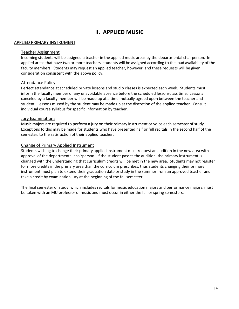# **II. APPLIED MUSIC**

#### APPLIED PRIMARY INSTRUMENT

#### Teacher Assignment

Incoming students will be assigned a teacher in the applied music areas by the departmental chairperson. In applied areas that have two or more teachers, students will be assigned according to the load availability of the faculty members. Students may request an applied teacher, however, and these requests will be given consideration consistent with the above policy.

#### Attendance Policy

Perfect attendance at scheduled private lessons and studio classes is expected each week. Students must inform the faculty member of any unavoidable absence before the scheduled lesson/class time. Lessons canceled by a faculty member will be made up at a time mutually agreed upon between the teacher and student. Lessons missed by the student may be made up at the discretion of the applied teacher. Consult individual course syllabus for specific information by teacher.

#### Jury Examinations

Music majors are required to perform a jury on their primary instrument or voice each semester of study. Exceptions to this may be made for students who have presented half or full recitals in the second half of the semester, to the satisfaction of their applied teacher.

#### Change of Primary Applied Instrument

Students wishing to change their primary applied instrument must request an audition in the new area with approval of the departmental chairperson. If the student passes the audition, the primary instrument is changed with the understanding that curriculum credits will be met in the new area. Students may not register for more credits in the primary area than the curriculum prescribes, thus students changing their primary instrument must plan to extend their graduation date or study in the summer from an approved teacher and take a credit by examination jury at the beginning of the fall semester.

The final semester of study, which includes recitals for music education majors and performance majors, must be taken with an MU professor of music and must occur in either the fall or spring semesters.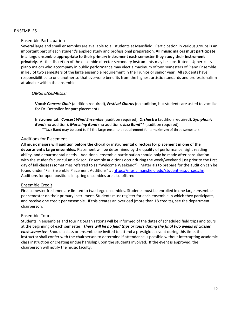#### ENSEMBLES

#### Ensemble Participation

Several large and small ensembles are available to all students at Mansfield. Participation in various groups is an important part of each student's applied study and professional preparation. **All music majors must participate in a large ensemble appropriate to their primary instrument each semester they study their instrument privately**. At the discretion of the ensemble director secondary instruments may be substituted. Upper-class piano majors who accompany in public performance may elect a maximum of two semesters of Piano Ensemble in lieu of two semesters of the large ensemble requirement in their junior or senior year. All students have responsibilities to one another so that everyone benefits from the highest artistic standards and professionalism attainable within the ensemble.

#### *LARGE ENSEMBLES:*

**Vocal**: *Concert Choir* (audition required), *Festival Chorus* (no audition, but students are asked to vocalize for Dr. Dettwiler for part placement)

**Instrumental**: *Concert Wind Ensemble* (audition required), *Orchestra* (audition required), *Symphonic Band* (no audition), *Marching Band* (no audition), *Jazz Band*\*\* (audition required) \*\*Jazz Band may be used to fill the large ensemble requirement for a **maximum** of three semesters.

#### Auditions for Placement

**All music majors will audition before the choral or instrumental directors for placement in one of the department's large ensembles.** Placement will be determined by the quality of performance, sight reading ability, and departmental needs. Additional ensemble participation should only be made after consultation with the student's curriculum advisor. Ensemble auditions occur during the week/weekend just prior to the first day of fall classes (sometimes referred to as "Welcome Weekend"). Materials to prepare for the audition can be found under "Fall Ensemble Placement Auditions" a[t https://music.mansfield.edu/student-resources.cfm.](https://music.mansfield.edu/student-resources.cfm) Auditions for open positions in spring ensembles are also offered

#### Ensemble Credit

First semester freshmen are limited to two large ensembles. Students must be enrolled in one large ensemble per semester on their primary instrument. Students must register for each ensemble in which they participate, and receive one credit per ensemble. If this creates an overload (more than 18 credits), see the department chairperson.

#### Ensemble Tours

Students in ensembles and touring organizations will be informed of the dates of scheduled field trips and tours at the beginning of each semester. *There will be no field trips or tours during the final two weeks of classes each semester.* Should a class or ensemble be invited to attend a prestigious event during this time, the instructor shall confer with the chairperson to determine if attendance is possible without interrupting academic class instruction or creating undue hardship upon the students involved. If the event is approved, the chairperson will notify the music faculty.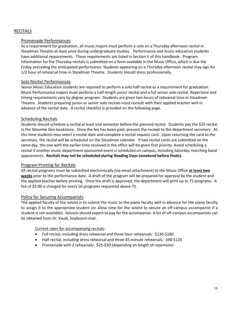#### RECITALS

#### Promenade Performances

As a requirement for graduation, all music majors must perform a solo on a Thursday afternoon recital in Steadman Theatre at least once during undergraduate studies. Performance and music education students have additional requirements. These requirements are listed in Section V of this handbook. Program information for the Thursday recitals is submitted on a form available in the Music Office, which is due the Friday preceding the anticipated performance. Students appearing on a Thursday afternoon recital may sign for 1/2 hour of rehearsal time in Steadman Theatre. Students should dress professionally.

#### Solo Recital Performances

Senior Music Education students are required to perform a solo half recital as a requirement for graduation. Music Performance majors must perform a half-length junior recital and a full senior solo recital. Repertoire and timing requirements vary by degree program. Students are given two hours of rehearsal time in Steadman Theatre. Students preparing junior or senior solo recitals must consult with their applied teacher well in advance of the recital date. A recital checklist is provided on the following page.

#### Scheduling Recitals

Students should schedule a recital at least one semester before the planned recital. Students pay the \$25 recital in the Mountie Den bookstore. Once the fee has been paid, present the receipt to the department secretary. At this time students may select a recital date and complete a recital request card. Upon returning the card to the secretary, the recital will be scheduled on the Steadman calendar. If two recital cards are submitted on the same day, the one with the earlier time received in the office will be given first priority. Avoid scheduling a recital if another music department sponsored event is scheduled on campus, including Saturday marching band appearances. **Recitals may not be scheduled during Reading Days (weekend before finals).**

#### Program Printing for Recitals

All recital programs must be submitted electronically (via email attachment) to the Music Office **at least two weeks** prior to the performance date. A draft of the program will be prepared for approval by the student and the applied teacher before printing. Once the draft is approved, the department will print up to 75 programs. A fee of \$5.00 is charged for every 50 programs requested above 75.

#### Policy for Securing Accompanists

The applied faculty of the soloist is to submit the music to the piano faculty well in advance for the piano faculty to assign it to the appropriate student (or allow time for the soloist to secure an off-campus accompanist if a student is not available). Soloists should expect to pay for the accompanist. A list of off-campus accompanists can be obtained from Dr. Kwak, keyboard chair.

#### Current rates for accompanying recitals:

- Full recital, including dress rehearsal and three hour rehearsals: \$130-\$180
- Half recital, including dress rehearsal and three 45-minute rehearsals: \$90-\$120
- Promenade with 2 rehearsals: \$25-\$30 (depending on length of repertoire)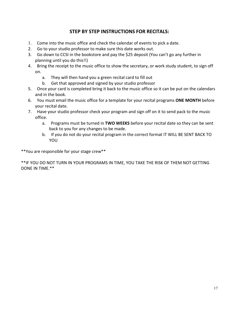## **STEP BY STEP INSTRUCTIONS FOR RECITALS:**

- 1. Come into the music office and check the calendar of events to pick a date.
- 2. Go to your studio professor to make sure this date works out.
- 3. Go down to CCSI in the bookstore and pay the \$25 deposit (You can't go any further in planning until you do this!!)
- 4. Bring the receipt to the music office to show the secretary, or work study student, to sign off on.
	- a. They will then hand you a green recital card to fill out
	- b. Get that approved and signed by your studio professor
- 5. Once your card is completed bring it back to the music office so it can be put on the calendars and in the book.
- 6. You must email the music office for a template for your recital programs **ONE MONTH** before your recital date.
- 7. Have your studio professor check your program and sign off on it to send pack to the music office.
	- a. Programs must be turned in **TWO WEEKS** before your recital date so they can be sent back to you for any changes to be made.
	- b. If you do not do your recital program in the correct format IT WILL BE SENT BACK TO YOU

\*\*You are responsible for your stage crew\*\*

\*\*IF YOU DO NOT TURN IN YOUR PROGRAMS IN TIME, YOU TAKE THE RISK OF THEM NOT GETTING DONE IN TIME.\*\*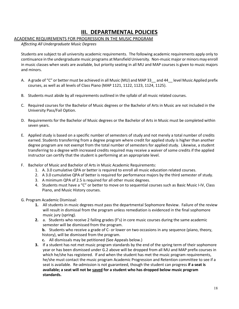# **III. DEPARTMENTAL POLICIES**

#### ACADEMIC REQUIREMENTS FOR PROGRESSION IN THE MUSIC PROGRAM

*Affecting All Undergraduate Music Degrees*

Students are subject to all university academic requirements. The following academic requirements apply only to continuance in the undergraduate music programs at Mansfield University. Non-music major or minors may enroll in music classes when seats are available, but priority seating in all MU and MAP courses is given to music majors and minors.

- A. A grade of "C" or better must be achieved in all Music (MU) and MAP 33 and 44 level Music Applied prefix courses, as well as all levels of Class Piano (MAP 1121, 1122, 1123, 1124, 1125).
- B. Students must abide by all requirements outlined in the syllabi of all music related courses.
- C. Required courses for the Bachelor of Music degrees or the Bachelor of Arts in Music are not included in the University Pass/Fail Option.
- D. Requirements for the Bachelor of Music degrees or the Bachelor of Arts in Music must be completed within seven years.
- E. Applied study is based on a specific number of semesters of study and not merely a total number of credits earned. Students transferring from a degree program where credit for applied study is higher than another degree program are not exempt from the total number of semesters for applied study. Likewise, a student transferring to a degree with increased credits required may receive a waiver of some credits if the applied instructor can certify that the student is performing at an appropriate level.
- F. Bachelor of Music and Bachelor of Arts in Music Academic Requirements:
	- 1. A. 3.0 cumulative QPA or better is required to enroll all music education related courses.
	- 2. A 3.0 cumulative QPA of better is required for performance majors by the third semester of study.
	- 3. A minimum QPA of 2.5 is required for all other music degrees.
	- 4. Students must have a "C" or better to move on to sequential courses such as Basic Music I-IV, Class Piano, and Music History courses.
- G. Program Academic Dismissal:
	- **1.** All students in music degrees must pass the departmental Sophomore Review. Failure of the review will result in dismissal from the program unless remediation is evidenced in the final sophomore music jury (spring).
	- **2.** a.Students who receive 2 failing grades (F's) in core music courses during the same academic semester will be dismissed from the program.

**b.** Students who receive a grade of C- or lower on two occasions in any sequence (piano, theory, history), will be dismissed from the program.

- **c.** All dismissals may be petitioned (See Appeals below.)
- **3.** If a student has not met music program standards by the end of the spring term of their sophomore year or has been dismissed under G.2 above will be dropped from all MU and MAP prefix courses in which he/she has registered. If and when the student has met the music program requirements, he/she must contact the music program Academic Progression and Retention committee to see if a seat is available. Re-admission is not guaranteed, though the student can progress **if a seat is available; a seat will not be saved for a student who has dropped below music program standards.**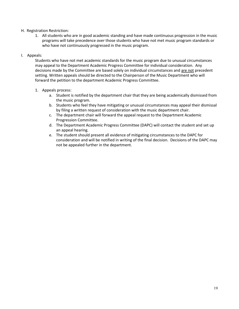#### H. Registration Restriction:

1. All students who are in good academic standing and have made continuous progression in the music programs will take precedence over those students who have not met music program standards or who have not continuously progressed in the music program.

#### I. Appeals:

Students who have not met academic standards for the music program due to unusual circumstances may appeal to the Department Academic Progress Committee for individual consideration. Any decisions made by the Committee are based solely on individual circumstances and are not precedent setting. Written appeals should be directed to the Chairperson of the Music Department who will forward the petition to the department Academic Progress Committee.

#### 1. Appeals process:

- a. Student is notified by the department chair that they are being academically dismissed from the music program.
- b. Students who feel they have mitigating or unusual circumstances may appeal their dismissal by filing a written request of consideration with the music department chair.
- c. The department chair will forward the appeal request to the Department Academic Progression Committee.
- d. The Department Academic Progress Committee (DAPC) will contact the student and set up an appeal hearing.
- e. The student should present all evidence of mitigating circumstances to the DAPC for consideration and will be notified in writing of the final decision. Decisions of the DAPC may not be appealed further in the department.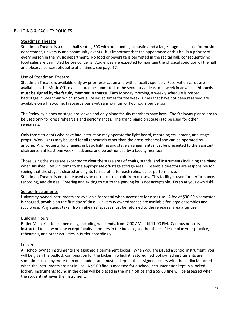#### BUILDING & FACILITY POLICIES

#### Steadman Theatre

Steadman Theatre is a recital hall seating 500 with outstanding acoustics and a large stage. It is used for music department, university and community events. It is important that the appearance of this hall is a priority of every person in the music department. No food or beverage is permitted in the recital hall; consequently no food sales are permitted before concerts. Audiences are expected to maintain the physical condition of the hall and observe concert etiquette at all times, see page 17.

#### Use of Steadman Theatre

Steadman Theatre is available only by prior reservation and with a faculty sponsor. Reservation cards are available in the Music Office and should be submitted to the secretary at least one week in advance. **All cards must be signed by the faculty member in charge**. Each Monday morning, a weekly schedule is posted backstage in Steadman which shows all reserved times for the week. Times that have not been reserved are available on a first-come, first-serve basis with a maximum of two hours per person.

The Steinway pianos on stage are locked and only piano faculty members have keys. The Steinway pianos are to be used only for dress rehearsals and performances. The grand piano on stage is to be used for other rehearsals.

Only those students who have had instruction may operate the light board, recording equipment, and stage props. Work lights may be used for all rehearsals other than the dress rehearsal and can be operated by anyone. Any requests for changes in basic lighting and stage arrangements must be presented to the assistant chairperson at least one week in advance and be authorized by a faculty member.

Those using the stage are expected to clear the stage area of chairs, stands, and instruments including the piano when finished. Return items to the appropriate off-stage storage area. Ensemble directors are responsible for seeing that the stage is cleared and lights turned off after each rehearsal or performance. Steadman Theatre is not to be used as an entrance to or exit from classes. This facility is used for performance, recording, and classes. Entering and exiting to cut to the parking lot is not acceptable. Do so at your own risk!

#### School Instruments

University owned instruments are available for rental when necessary for class use. A fee of \$30.00 a semester is charged, payable on the first day of class. University owned stands are available for large ensembles and studio use. Any stands taken from rehearsal spaces must be returned to the rehearsal area after use.

#### Building Hours

Butler Music Center is open daily, including weekends, from 7:00 AM until 11:00 PM. Campus police is instructed to allow no one except faculty members in the building at other times. Please plan your practice, rehearsals, and other activities in Butler accordingly.

#### Lockers

All school owned instruments are assigned a permanent locker. When you are issued a school instrument, you will be given the padlock combination for the locker in which it is stored. School owned instruments are sometimes used by more than one student and must be kept in the assigned lockers with the padlocks locked when the instruments are not in use. A \$5.00 fine is assessed for a school instrument not kept in a locked locker. Instruments found in the open will be placed in the main office and a \$5.00 fine will be assessed when the student retrieves the instrument.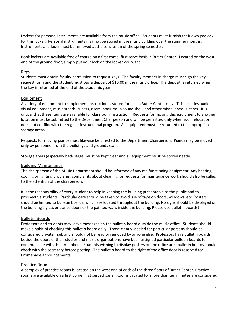Lockers for personal instruments are available from the music office. Students must furnish their own padlock for this locker. Personal instruments may not be stored in the music building over the summer months. Instruments and locks must be removed at the conclusion of the spring semester.

Book lockers are available free of charge on a first come, first serve basis in Butler Center. Located on the west end of the ground floor, simply put your lock on the locker you want.

#### Keys

Students must obtain faculty permission to request keys. The faculty member in charge must sign the key request form and the student must pay a deposit of \$10.00 in the music office. The deposit is returned when the key is returned at the end of the academic year.

#### Equipment

A variety of equipment to supplement instruction is stored for use in Butler Center only. This includes audiovisual equipment, music stands, tuners, risers, podiums, a sound shell, and other miscellaneous items. It is critical that these items are available for classroom instruction. Requests for moving this equipment to another location must be submitted to the Department Chairperson and will be permitted only when such relocation does not conflict with the regular instructional program. All equipment must be returned to the appropriate storage areas.

Requests for moving pianos must likewise be directed to the Department Chairperson. Pianos may be moved **only** by personnel from the buildings and grounds staff.

Storage areas (especially back stage) must be kept clear and all equipment must be stored neatly.

#### Building Maintenance

The chairperson of the Music Department should be informed of any malfunctioning equipment. Any heating, cooling or lighting problems, complaints about cleaning, or requests for maintenance work should also be called to the attention of the chairperson.

It is the responsibility of every student to help in keeping the building presentable to the public and to prospective students. Particular care should be taken to avoid use of tape on doors, windows, etc. Posters should be limited to bulletin boards, which are located throughout the building. No signs should be displayed on the building's glass entrance doors or the painted walls inside the building. Please use bulletin boards!

#### Bulletin Boards

Professors and students may leave messages on the bulletin board outside the music office. Students should make a habit of checking this bulletin board daily. Those clearly labeled for particular persons should be considered private mail, and should not be read or removed by anyone else. Professors have bulletin boards beside the doors of their studios and music organizations have been assigned particular bulletin boards to communicate with their members. Students wishing to display posters on the office area bulletin boards should check with the secretary before posting. The bulletin board to the right of the office door is reserved for Promenade announcements.

#### Practice Rooms

A complex of practice rooms is located on the west end of each of the three floors of Butler Center. Practice rooms are available on a first come, first served basis. Rooms vacated for more than ten minutes are considered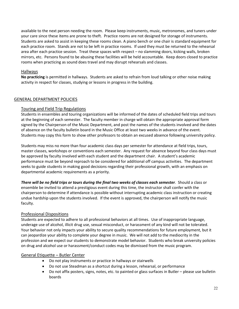available to the next person needing the room. Please keep instruments, music, metronomes, and tuners under your care since these items are prone to theft. Practice rooms are not designed for storage of instruments. Students are asked to assist in keeping these rooms clean. A piano bench or one chair is standard equipment for each practice room. Stands are not to be left in practice rooms. If used they must be returned to the rehearsal area after each practice session. Treat these spaces with respect – no slamming doors, kicking walls, broken mirrors, etc. Persons found to be abusing these facilities will be held accountable. Keep doors closed to practice rooms when practicing as sound does travel and may disrupt rehearsals and classes.

#### Hallways

**No practicing** is permitted in hallways. Students are asked to refrain from loud talking or other noise making activity in respect for classes, studying or lessons in progress in the building.

#### GENERAL DEPARTMENT POLICIES

#### Touring and Field Trip Regulations

Students in ensembles and touring organizations will be informed of the dates of scheduled field trips and tours at the beginning of each semester. The faculty member in charge will obtain the appropriate approval form signed by the Chairperson of the Music Department, and post the names of the students involved and the dates of absence on the faculty bulletin board in the Music Office at least two weeks in advance of the event. Students may copy this form to show other professors to obtain an excused absence following university policy.

Students may miss no more than four academic class days per semester for attendance at field trips, tours, master classes, workshops or conventions each semester. Any request for absence beyond four class days must be approved by faculty involved with each student and the department chair. A student's academic performance must be beyond reproach to be considered for additional off campus activities. The department seeks to guide students in making good decisions regarding their professional growth, with an emphasis on departmental academic requirements as a priority.

*There will be no field trips or tours during the final two weeks of classes each semester.* Should a class or ensemble be invited to attend a prestigious event during this time, the instructor shall confer with the chairperson to determine if attendance is possible without interrupting academic class instruction or creating undue hardship upon the students involved. If the event is approved, the chairperson will notify the music faculty.

#### Professional Dispositions

Students are expected to adhere to all professional behaviors at all times. Use of inappropriate language, underage use of alcohol, illicit drug use, sexual misconduct, or harassment of any kind will not be tolerated. Your behavior not only impacts your ability to secure quality recommendations for future employment, but it can jeopardize your ability to complete your degree in music. We will not add to the mediocrity in the profession and we expect our students to demonstrate model behavior. Students who break university policies on drug and alcohol use or harassment/conduct codes may be dismissed from the music program.

#### General Etiquette – Butler Center

- Do not play instruments or practice in hallways or stairwells
- Do not use Steadman as a shortcut during a lesson, rehearsal, or performance
- Do not affix posters, signs, notes, etc. to painted or glass surfaces in Butler please use bulletin boards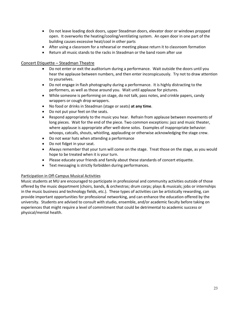- Do not leave loading dock doors, upper Steadman doors, elevator door or windows propped open. It overworks the heating/cooling/ventilating system. An open door in one part of the building causes excessive heat/cool in other parts
- After using a classroom for a rehearsal or meeting please return it to classroom formation
- Return all music stands to the racks in Steadman or the band room after use

#### Concert Etiquette – Steadman Theatre

- Do not enter or exit the auditorium during a performance. Wait outside the doors until you hear the applause between numbers, and then enter inconspicuously. Try not to draw attention to yourselves.
- Do not engage in flash photography during a performance. It is highly distracting to the performers, as well as those around you. Wait until applause for pictures.
- While someone is performing on stage, do not talk, pass notes, and crinkle papers, candy wrappers or cough drop wrappers.
- No food or drinks in Steadman (stage or seats) **at any time**.
- Do not put your feet on the seats.
- Respond appropriately to the music you hear. Refrain from applause between movements of long pieces. Wait for the end of the piece. Two common exceptions: jazz and music theater, where applause is appropriate after well-done solos. Examples of inappropriate behavior: whoops, catcalls, shouts, whistling, applauding or otherwise acknowledging the stage crew.
- Do not wear hats when attending a performance
- Do not fidget in your seat.
- Always remember that your turn will come on the stage. Treat those on the stage, as you would hope to be treated when it is your turn.
- Please educate your friends and family about these standards of concert etiquette.
- Text messaging is strictly forbidden during performances.

#### Participation in Off-Campus Musical Activities

Music students at MU are encouraged to participate in professional and community activities outside of those offered by the music department (choirs, bands, & orchestras; drum corps; plays & musicals; jobs or internships in the music business and technology fields, etc.). These types of activities can be artistically rewarding, can provide important opportunities for professional networking, and can enhance the education offered by the university. Students are advised to consult with studio, ensemble, and/or academic faculty before taking on experiences that might require a level of commitment that could be detrimental to academic success or physical/mental health.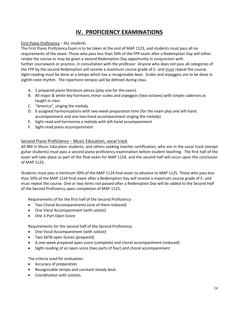# **IV. PROFICIENCY EXAMINATIONS**

#### First Piano Proficiency – ALL students

The First Piano Proficiency Exam is to be taken at the end of MAP 1123, and students must pass all six requirements of the exam. Those who pass less than 50% of the FPP exam after a Redemption Day will either retake the course or may be given a second Redemption Day opportunity in conjunction with further coursework or practice, in consultation with the professor. Anyone who does not pass all categories of the FPP by the second Redemption will receive a maximum course grade of C- and must repeat the course. Sight-reading must be done at a tempo which has a recognizable beat. Scales and arpeggios are to be done in eighth-note rhythm. The repertoire tempos will be defined during class.

- A. 2 prepared piano literature pieces (play one for the exam)
- B. All major & white key harmonic minor scales and arpeggios (two octaves) with simple cadences as taught in class
- C. "America", singing the melody
- D. 6 assigned harmonizations with two-week preparation time (for the exam play one left-hand accompaniment and one two-hand accompaniment singing the melody)
- E. Sight-read and harmonize a melody with left-hand accompaniment
- F. Sight-read piano accompaniment

#### Second Piano Proficiency – Music Education, vocal track

All BM in Music Education students, and others seeking teacher certification, who are in the vocal track (except guitar students) must pass a second piano proficiency examination before student teaching. The first half of the exam will take place as part of the final exam for MAP 1124, and the second half will occur upon the conclusion of MAP 1125.

Students must pass a minimum 50% of the MAP 1124 final exam to advance to MAP 1125. Those who pass less than 50% of the MAP 1124 final exam after a Redemption Day will receive a maximum course grade of C- and must repeat the course. One or two items not passed after a Redemption Day will be added to the Second Half of the Second Proficiency upon completion of MAP 1125.

Requirements of for the first half of the Second Proficiency:

- Two Choral Accompaniments (one of them reduced)
- One Vocal Accompaniment (with soloist)
- One 3-Part Open Score

Requirements for the second half of the Second Proficiency:

- One Vocal Accompaniment (with soloist)
- Two SATB open Scores (prepared)
- A one-week prepared open score (complete) and choral accompaniment (reduced)
- Sight-reading of an open score (two parts of four) and choral accompaniment

The criteria used for evaluation:

- Accuracy of preparation
- Recognizable tempo and constant steady beat.
- Coordination with soloists.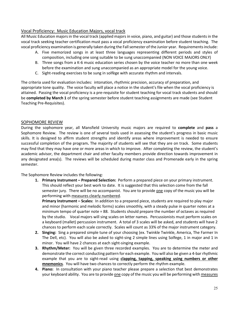#### Vocal Proficiency: Music Education Majors, vocal track

All Music Education majors in the vocal track (applied majors in voice, piano, and guitar) and those students in the vocal track seeking teacher certification must pass a vocal proficiency examination before student teaching. The vocal proficiency examination is generally taken during the Fall semester of the Junior year. Requirements include:

- A. Five memorized songs in at least three languages representing different periods and styles of composition, including one song suitable to be sung unaccompanied (NON VOICE MAJORS ONLY)
- B. Three songs from a K-6 music education series chosen by the voice teacher no more than one week before the examination and sung unaccompanied as an appropriate model for the young voice.
- C. Sight-reading exercises to be sung in solfège with accurate rhythm and intervals.

The criteria used for evaluation includes: intonation, rhythmic precision, accuracy of preparation, and appropriate tone quality. The voice faculty will place a notice in the student's file when the vocal proficiency is attained. Passing the vocal proficiency is a pre-requisite for student teaching for vocal track students and should be **completed by March 1** of the spring semester before student teaching assignments are made (see Student Teaching Pre-Requisites).

#### SOPHOMORE REVIEW

During the sophomore year, all Mansfield University music majors are required to **complete** and **pass** a Sophomore Review. The review is one of several tools used in assessing the student's progress in basic music skills. It is designed to affirm student strengths and identify areas where improvement is needed to ensure successful completion of the program**.** The majority of students will see that they are on track. Some students may find that they may have one or more areas in which to improve. After completing the review, the student's academic advisor, the department chair and other faculty members provide direction towards improvement in any designated area(s). The reviews will be scheduled during master class and Promenade early in the spring semester.

The Sophomore Review includes the following:

**1. Primary Instrument – Prepared Selection:** Perform a prepared piece on your primary instrument. This should reflect your best work to date. It is suggested that this selection come from the fall semester jury. There will be no accompanist. You are to provide one copy of the music you will be performing with measures clearly numbered.

**Primary Instrument – Scales:** In addition to a prepared piece, students are required to play major and minor (harmonic and melodic forms) scales smoothly, with a steady pulse in quarter notes at a minimum tempo of quarter note = 88. Students should prepare the number of octaves as required by the studio. Vocal majors will sing scales on letter names. Percussionists must perform scales on a keyboard (mallet) percussion instrument. A total of 3 scales will be asked, and students will have 2 chances to perform each scale correctly. Scales will count as 33% of the major instrument category.

- **2. Singing:** Sing a prepared simple tune of your choosing (ex. Twinkle Twinkle, America, The Farmer In The Dell, etc). You will also be asked to sight-sing 2 simple lines using Solfege, 1 in major and 1 in minor. You will have 2 chances at each sight-singing example.
- **3. Rhythm/Meter:** You will be given three recorded examples. You are to determine the meter and demonstrate the correct conducting pattern for each example. You will also be given a 4-bar rhythmic example that you are to sight-read using **clapping, tapping, speaking using numbers or other mnemonics**. You will have two chances to correctly perform the rhythm example.
- **4. Piano:** In consultation with your piano teacher please prepare a selection that best demonstrates your keyboard ability. You are to provide one copy of the music you will be performing with measures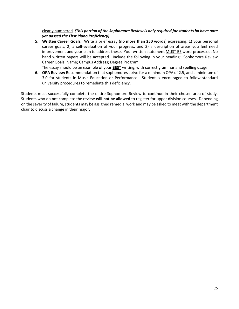clearly numbered. *(This portion of the Sophomore Review is only required for students ho have note yet passed the First Piano Proficiency)*

**5. Written Career Goals:** Write a brief essay (**no more than 250 words**) expressing: 1) your personal career goals; 2) a self-evaluation of your progress; and 3) a description of areas you feel need improvement and your plan to address these. Your written statement MUST BE word-processed. No hand written papers will be accepted. Include the following in your heading: Sophomore Review Career Goals; Name; Campus Address; Degree Program

The essay should be an example of your **BEST** writing, with correct grammar and spelling usage.

**6. QPA Review:** Recommendation that sophomores strive for a minimum QPA of 2.5, and a minimum of 3.0 for students in Music Education or Performance. Student is encouraged to follow standard university procedures to remediate this deficiency.

Students must successfully complete the entire Sophomore Review to continue in their chosen area of study. Students who do not complete the review **will not be allowed** to register for upper division courses. Depending on the severity of failure, students may be assigned remedial work and may be asked to meet with the department chair to discuss a change in their major.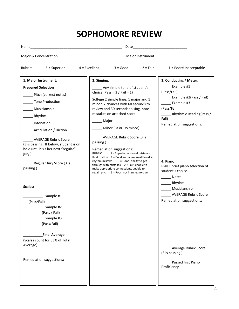# **SOPHOMORE REVIEW**

| Name                                                                                                                                                                                                                                                                                                                                                                                                                      |                                                                  |                                                                                                                                                                                                                                                                                                                                                                                                                                                                                                                                                                                                      |                                                                                                                                                                                                                                                                                                                                                                   |
|---------------------------------------------------------------------------------------------------------------------------------------------------------------------------------------------------------------------------------------------------------------------------------------------------------------------------------------------------------------------------------------------------------------------------|------------------------------------------------------------------|------------------------------------------------------------------------------------------------------------------------------------------------------------------------------------------------------------------------------------------------------------------------------------------------------------------------------------------------------------------------------------------------------------------------------------------------------------------------------------------------------------------------------------------------------------------------------------------------------|-------------------------------------------------------------------------------------------------------------------------------------------------------------------------------------------------------------------------------------------------------------------------------------------------------------------------------------------------------------------|
|                                                                                                                                                                                                                                                                                                                                                                                                                           |                                                                  |                                                                                                                                                                                                                                                                                                                                                                                                                                                                                                                                                                                                      | Major Instrument_________________                                                                                                                                                                                                                                                                                                                                 |
| $5 =$ Superior<br>Rubric:<br>4 = Excellent                                                                                                                                                                                                                                                                                                                                                                                |                                                                  | $3 = Good$ 2 = Fair                                                                                                                                                                                                                                                                                                                                                                                                                                                                                                                                                                                  | $1 = Poor/Unacceptable$                                                                                                                                                                                                                                                                                                                                           |
| 1. Major Instrument:<br><b>Prepared Selection</b><br>Pitch (correct notes)<br><b>Tone Production</b><br>Musicianship<br>_________Rhythm<br>Intonation<br>Articulation / Diction<br><b>AVERAGE Rubric Score</b><br>(3 is passing. If below, student is on<br>hold until his / her next "regular"<br>jury.)<br>Regular Jury Score (3 is<br>passing.)<br>Scales:<br>Example #1<br>(Pass/Fail)<br>Example #2<br>(Pass / Fail) | 2. Singing:<br>_ Major<br>passing.)<br>RUBRIC:<br>rhythm mistake | Any simple tune of student's<br>choice (Pass = $3 / \text{fail} = 1$ )<br>Solfege 2 simple lines, 1 major and 1<br>minor, 2 chances with 60 seconds to<br>review and 30 seconds to sing, note<br>mistakes on attached score.<br>Minor (La or Do minor)<br>_ AVERAGE Rubric Score (3 is<br>Remediation suggestions:<br>5 = Superior: no tonal mistakes,<br>fluid rhythm $4 = Excellent$ : a few small tonal &<br>$3 = Good: ability to get$<br>through with mistakes $2 = \text{Fair:}$ unable to<br>make appropriate connections, unable to<br>regain pitch $1 = \text{Poor: not in tune}$ , no clue | 3. Conducting / Meter:<br>Example #1<br>(Pass/Fail)<br>Example #2(Pass / Fail)<br>Example #3<br>(Pass/Fail)<br>_____Rhythmic Reading(Pass /<br>Fail)<br>Remediation suggestions:<br>4. Piano:<br>Play 1 brief piano selection of<br>student's choice.<br><b>Notes</b><br>Rhythm<br>______ Musicianship<br><b>AVERAGE Rubric Score</b><br>Remediation suggestions: |
| Example #3<br>(Pass/Fail)<br><b>Final Average</b><br>(Scales count for 33% of Total<br>Average)<br>Remediation suggestions:                                                                                                                                                                                                                                                                                               |                                                                  |                                                                                                                                                                                                                                                                                                                                                                                                                                                                                                                                                                                                      | Average Rubric Score<br>(3 is passing.)<br>Passed first Piano<br>Proficiency                                                                                                                                                                                                                                                                                      |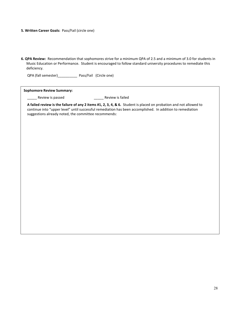#### **5. Written Career Goals:** Pass/Fail (circle one)

**6. QPA Review:** Recommendation that sophomores strive for a minimum QPA of 2.5 and a minimum of 3.0 for students in Music Education or Performance. Student is encouraged to follow standard university procedures to remediate this deficiency.

QPA (fall semester)\_\_\_\_\_\_\_\_\_\_ Pass/Fail (Circle one)

| <b>Sophomore Review Summary:</b>                                                                                                                                                                                                                                                        |  |  |  |  |
|-----------------------------------------------------------------------------------------------------------------------------------------------------------------------------------------------------------------------------------------------------------------------------------------|--|--|--|--|
| Review is failed<br>Review is passed                                                                                                                                                                                                                                                    |  |  |  |  |
| A failed review is the failure of any 2 items #1, 2, 3, 4, & 6. Student is placed on probation and not allowed to<br>continue into "upper level" until successful remediation has been accomplished. In addition to remediation<br>suggestions already noted, the committee recommends: |  |  |  |  |
|                                                                                                                                                                                                                                                                                         |  |  |  |  |
|                                                                                                                                                                                                                                                                                         |  |  |  |  |
|                                                                                                                                                                                                                                                                                         |  |  |  |  |
|                                                                                                                                                                                                                                                                                         |  |  |  |  |
|                                                                                                                                                                                                                                                                                         |  |  |  |  |
|                                                                                                                                                                                                                                                                                         |  |  |  |  |
|                                                                                                                                                                                                                                                                                         |  |  |  |  |
|                                                                                                                                                                                                                                                                                         |  |  |  |  |
|                                                                                                                                                                                                                                                                                         |  |  |  |  |
|                                                                                                                                                                                                                                                                                         |  |  |  |  |
|                                                                                                                                                                                                                                                                                         |  |  |  |  |
|                                                                                                                                                                                                                                                                                         |  |  |  |  |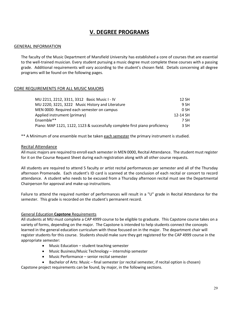# **V. DEGREE PROGRAMS**

#### GENERAL INFORMATION

The faculty of the Music Department of Mansfield University has established a core of courses that are essential to the well-trained musician. Every student pursuing a music degree must complete these courses with a passing grade. Additional requirements will vary according to the student's chosen field. Details concerning all degree programs will be found on the following pages.

#### CORE REQUIREMENTS FOR ALL MUSIC MAJORS

| 12 SH    |
|----------|
| 9 SH     |
| $0$ SH   |
| 12-14 SH |
| 7 SH     |
| 3 SH     |
|          |

\*\* A Minimum of one ensemble must be taken each semester the primary instrument is studied.

#### Recital Attendance

All music majors are required to enroll each semester in MEN 0000, Recital Attendance. The student must register for it on the Course Request Sheet during each registration along with all other course requests.

All students are required to attend 5 faculty or artist recital performances per semester and all of the Thursday afternoon Promenade. Each student's ID card is scanned at the conclusion of each recital or concert to record attendance. A student who needs to be excused from a Thursday afternoon recital must see the Departmental Chairperson for approval and make-up instructions.

Failure to attend the required number of performances will result in a "U" grade in Recital Attendance for the semester. This grade is recorded on the student's permanent record.

#### General Education **Capstone** Requirements

All students at MU must complete a CAP 4999 course to be eligible to graduate. This Capstone course takes on a variety of forms, depending on the major. The Capstone is intended to help students connect the concepts learned in the general education curriculum with those focused on in the major. The department chair will register students for this course. Students should make sure they get registered for the CAP 4999 course in the appropriate semester:

- Music Education student teaching semester
- Music Business/Music Technology internship semester
- Music Performance senior recital semester
- Bachelor of Arts: Music final semester (or recital semester, if recital option is chosen)

Capstone project requirements can be found, by major, in the following sections.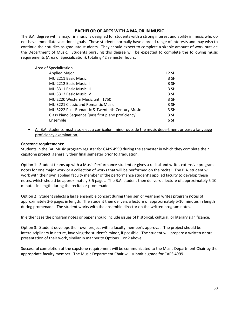#### **BACHELOR OF ARTS WITH A MAJOR IN MUSIC**

The B.A. degree with a major in music is designed for students with a strong interest and ability in music who do not have immediate vocational goals. These students normally have a broad range of interests and may wish to continue their studies as graduate students. They should expect to complete a sizable amount of work outside the Department of Music. Students pursuing this degree will be expected to complete the following music requirements (Area of Specialization), totaling 42 semester hours:

#### Area of Specialization

| <b>Applied Major</b>                                | 12 SH |
|-----------------------------------------------------|-------|
| MU 2211 Basic Music I                               | 3 SH  |
| <b>MU 2212 Basic Music II</b>                       | 3 SH  |
| MU 3311 Basic Music III                             | 3 SH  |
| MU 3312 Basic Music IV                              | 3 SH  |
| MU 2220 Western Music until 1750                    | 3 SH  |
| MU 3221 Classic and Romantic Music                  | 3 SH  |
| MU 3222 Post-Romantic & Twentieth-Century Music     | 3 SH  |
| Class Piano Sequence (pass first piano proficiency) | 3 SH  |
| Ensemble                                            | 6 SH  |

• All B.A. students must also elect a curriculum minor outside the music department or pass a language proficiency examination.

#### **Capstone requirements:**

Students in the BA: Music program register for CAPS 4999 during the semester in which they complete their capstone project, generally their final semester prior to graduation.

Option 1: Student teams up with a Music Performance student or gives a recital and writes extensive program notes for one major work or a collection of works that will be performed on the recital. The B.A. student will work with their own applied faculty member of the performance student's applied faculty to develop these notes, which should be approximately 3-5 pages. The B.A. student then delivers a lecture of approximately 5-10 minutes in length during the recital or promenade.

Option 2: Student selects a large ensemble concert during their senior year and writes program notes of approximately 3-5 pages in length. The student then delivers a lecture of approximately 5-10 minutes in length during promenade. The student works with the ensemble director on the written program notes.

In either case the program notes or paper should include issues of historical, cultural, or literary significance.

Option 3: Student develops their own project with a faculty member's approval. The project should be interdisciplinary in nature, involving the student's minor, if possible. The student will prepare a written or oral presentation of their work, similar in manner to Options 1 or 2 above.

Successful completion of the capstone requirement will be communicated to the Music Department Chair by the appropriate faculty member. The Music Department Chair will submit a grade for CAPS 4999.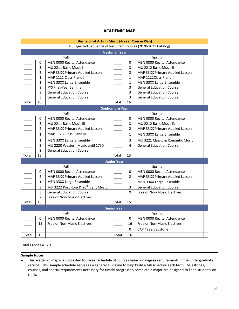#### **ACADEMIC MAP**

#### **Bachelor of Arts in Music (4-Year Course Plan)**

#### A Suggested Sequence of Required Courses (2020-2021 Catalog)

| <b>Freshman Year</b> |                |                                                |                       |                |                                  |  |
|----------------------|----------------|------------------------------------------------|-----------------------|----------------|----------------------------------|--|
| Fall                 |                |                                                | Spring                |                |                                  |  |
|                      | 0              | MEN 0000 Recital Attendance                    |                       | 0              | MEN 0000 Recital Attendance      |  |
|                      | 3              | MU 2211 Basic Music I                          |                       | 3              | MU 2212 Basic Music II           |  |
|                      | 2              | MAP 33XX Primary Applied Lesson                |                       | $\overline{2}$ | MAP 33XX Primary Applied Lesson  |  |
|                      | 1              | MAP 1121 Class Piano I                         |                       | $\mathbf{1}$   | MAP 1122Class Piano II           |  |
|                      | 1              | MEN 33XX Large Ensemble                        |                       | 1              | MEN 33XX Large Ensemble          |  |
|                      | 3              | FYS First-Year Seminar                         |                       | 3              | <b>General Education Course</b>  |  |
|                      | 3              | <b>General Education Course</b>                |                       | 3              | <b>General Education Course</b>  |  |
|                      | 3              | <b>General Education Course</b>                |                       | 3              | <b>General Education Course</b>  |  |
| Total                | 16             |                                                | Total                 | 16             |                                  |  |
|                      |                |                                                | <b>Sophomore Year</b> |                |                                  |  |
|                      |                | Fall                                           |                       |                | Spring                           |  |
|                      | 0              | MEN 0000 Recital Attendance                    |                       | 0              | MEN 0000 Recital Attendance      |  |
|                      | 3              | MU 2211 Basic Music III                        |                       | 3              | MU 2212 Basic Music IV           |  |
|                      | $\overline{2}$ | MAP 33XX Primary Applied Lesson                |                       | $\overline{2}$ | MAP 33XX Primary Applied Lesson  |  |
|                      | $\mathbf{1}$   | MAP 1123 Class Piano III                       |                       | $\mathbf{1}$   | MEN 33XX Large Ensemble          |  |
|                      | 1              | MEN 33XX Large Ensemble                        |                       | 3              | MU 3221 Classic & Romantic Music |  |
|                      | 3              | MU 2220 Western Music until 1750               |                       | 4              | <b>General Education Course</b>  |  |
|                      | 3              | <b>General Education Course</b>                |                       |                |                                  |  |
| Total                | 13             |                                                | Total                 | 13             |                                  |  |
| <b>Junior Year</b>   |                |                                                |                       |                |                                  |  |
|                      |                | Fall                                           |                       |                | Spring                           |  |
|                      | 0              | MEN 0000 Recital Attendance                    |                       | 0              | MEN 0000 Recital Attendance      |  |
|                      | 2              | MAP 33XX Primary Applied Lesson                |                       | $\overline{2}$ | MAP 33XX Primary Applied Lesson  |  |
|                      | $\mathbf{1}$   | MEN 33XX Large Ensemble                        |                       | $\mathbf{1}$   | MEN 33XX Large Ensemble          |  |
|                      | 3              | MU 3222 Post Rom & 20 <sup>th</sup> Cent Music |                       | 3              | General Education Course         |  |
|                      | 3              | <b>General Education Course</b>                |                       | 9              | Free or Non-Music Electives      |  |
|                      | 7              | Free or Non-Music Electives                    |                       |                |                                  |  |
| Total                | 16             |                                                | Total                 | 15             |                                  |  |
|                      |                |                                                | <b>Senior Year</b>    |                |                                  |  |
|                      | Fall<br>Spring |                                                |                       |                |                                  |  |
|                      | 0              | MEN 0000 Recital Attendance                    |                       | 0              | MEN 0000 Recital Attendance      |  |
|                      | 15             | Free or Non-Music Electives                    |                       | 16             | Free or Non-Music Electives      |  |
|                      |                |                                                |                       | 0              | CAP 4999 Capstone                |  |
| Total                | 15             |                                                | Total                 | 16             |                                  |  |

Total Credits = 120

#### **Sample Notes:**

• This academic map is a suggested four-year schedule of courses based on degree requirements in the undergraduate catalog. This sample schedule serves as a general guideline to help build a full schedule each term. Milestones, courses, and special requirements necessary for timely progress to complete a major are designed to keep students on track.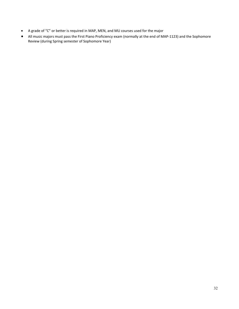- A grade of "C" or better is required in MAP, MEN, and MU courses used for the major
- All music majors must pass the First Piano Proficiency exam (normally at the end of MAP-1123) and the Sophomore Review (during Spring semester of Sophomore Year)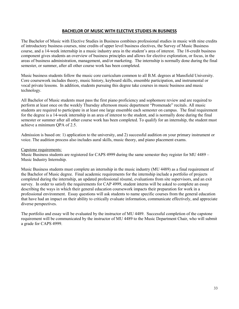#### **BACHELOR OF MUSIC WITH ELECTIVE STUDIES IN BUSINESS**

The Bachelor of Music with Elective Studies in Business combines professional studies in music with nine credits of introductory business courses, nine credits of upper level business electives, the Survey of Music Business course, and a 14-week internship in a music industry area in the student's area of interest. The 18-credit business component gives students an overview of business principles and allows for elective exploration, or focus, in the areas of business administration, management, and/or marketing. The internship is normally done during the final semester, or summer, after all other course work has been completed.

Music business students follow the music core curriculum common to all B.M. degrees at Mansfield University. Core coursework includes theory, music history, keyboard skills, ensemble participation, and instrumental or vocal private lessons. In addition, students pursuing this degree take courses in music business and music technology.

All Bachelor of Music students must pass the first piano proficiency and sophomore review and are required to perform at least once on the weekly Thursday afternoon music department "Promenade" recitals. All music students are required to participate in at least one large ensemble each semester on campus. The final requirement for the degree is a 14-week internship in an area of interest to the student, and is normally done during the final semester or summer after all other course work has been completed. To qualify for an internship, the student must achieve a minimum QPA of 2.5.

Admission is based on: 1) application to the university, and 2) successful audition on your primary instrument or voice. The audition process also includes aural skills, music theory, and piano placement exams.

#### Capstone requirements:

Music Business students are registered for CAPS 4999 during the same semester they register for MU 4489 – Music Industry Internship.

Music Business students must complete an internship in the music industry (MU 4489) as a final requirement of the Bachelor of Music degree. Final academic requirements for the internship include a portfolio of projects completed during the internship, an updated professional résumé, evaluations from site supervisors, and an exit survey. In order to satisfy the requirements for CAP 4999, student interns will be asked to complete an essay describing the ways in which their general education coursework impacts their preparation for work in a professional environment. Essay questions will ask students to name specific courses from the general education that have had an impact on their ability to critically evaluate information, communicate effectively, and appreciate diverse perspectives.

The portfolio and essay will be evaluated by the instructor of MU 4489. Successful completion of the capstone requirement will be communicated by the instructor of MU 4489 to the Music Department Chair, who will submit a grade for CAPS 4999.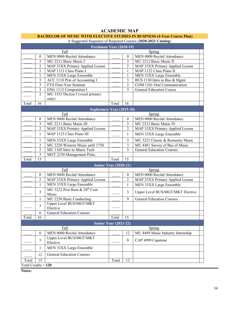#### A Suggested Sequence of Required Courses (**2020-2021 Catalog**) **Freshman Year (2018-19)** Fall Spring 0 | MEN 0000 Recital Attendance | 0 | MEN 0000 Recital Attendance \_\_\_\_ 3 MU 2211 Basic Music I \_\_\_\_ 3 MU 2212 Basic Music II 2 | MAP 33XX Primary Applied Lesson | \_\_\_ | 2 | MAP 33XX Primary Applied Lesson \_\_\_\_ 1 MAP 1121 Class Piano I \_\_\_\_ 1 MAP 1122 Class Piano II 1 MEN 33XX Large Ensemble 1 MEN 33XX Large Ensemble  $_3$  | ACC 1110 Prin of Accounting I  $_3$  | BUS 1130 Intro to Bus & Mgmt 3 FYS First-Year Seminar 2 3 COM 1101 Oral Communication 3 ENG 1112 Composition I 3 General Education Course 2 | MU 3352 Diction I (vocal primary only) Total 16 Total 16 **Sophomore Year (2019-20)** Fall Spring 0 | MEN 0000 Recital Attendance | 0 | MEN 0000 Recital Attendance 3 | MU 2211 Basic Music III | 3 | MU 2212 Basic Music IV 2 | MAP 33XX Primary Applied Lesson | 2 | MAP 33XX Primary Applied Lesson \_\_\_\_ 1 MAP 1123 Class Piano III \_\_\_\_ 1 MEN 33XX Large Ensemble 1 | MEN 33XX Large Ensemble | 3 | MU 3221 Classic & Romantic Music 3 | MU 2220 Western Music until 1750 | 3 | MU 4481 Survey of Bus of Music 2 | MU 1105 Intro to Music Tech | 3 | General Education Courses 3 | MGT 2230 Management Princ. Total 15 | Total 15 **Junior Year (2020-21)** Fall Spring 0 | MEN 0000 Recital Attendance | | | | | | | MEN 0000 Recital Attendance 2 | MAP 33XX Primary Applied Lesson | \_\_\_ | 2 | MAP 33XX Primary Applied Lesson \_\_\_\_ 1 MEN 33XX Large Ensemble \_\_\_\_ 1 MEN 33XX Large Ensemble  $_3$  MU 3222 Post Rom & 20<sup>th</sup> Cent 3 | Upper Level BUS/MGT/MKT Elective 1 MU 2250 Basic Conducting 1 9 General Education Courses 3 Upper Level BUS/MGT/MKT Elective \_\_\_\_ 6 General Education Courses Total 16 Total 15 **Senior Year (2021-22)** Fall Spring 0 MEN 0000 Recital Attendance 1 12 MU 4489 Music Industry Internship 3 Upper Level BUS/MGT/MKT<br>Elective 0  $\overline{CRP}$  4999 Capstone 1 | MEN 33XX Large Ensemble 12 General Education Courses Total 15 Total 12 Total Credits = **120**

#### **ACADEMIC MAP**

#### **BACHELOR OF MUSIC WITH ELECTIVE STUDIES IN BUSINESS (4-Year Course Plan)**

**Notes:**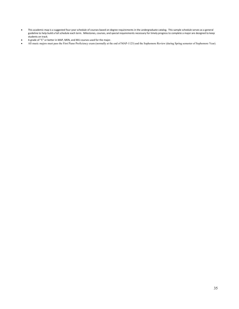- This academic map is a suggested four-year schedule of courses based on degree requirements in the undergraduate catalog. This sample schedule serves as a general guideline to help build a full schedule each term. Milestones, courses, and special requirements necessary for timely progress to complete a major are designed to keep students on track.
- A grade of "C" or better in MAP, MEN, and MU courses used for the major.
- All music majors must pass the First Piano Proficiency exam (normally at the end of MAP-1123) and the Sophomore Review (during Spring semester of Sophomore Year).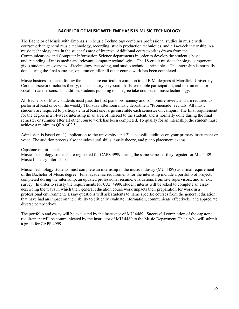#### **BACHELOR OF MUSIC WITH EMPHASIS IN MUSIC TECHNOLOGY**

The Bachelor of Music with Emphasis in Music Technology combines professional studies in music with coursework in general music technology, recording, studio production techniques, and a 14-week internship in a music technology area in the student's area of interest. Additional coursework is drawn from the Communications and Computer Information Science departments in order to develop the student's basic understanding of mass media and relevant computer technologies. The 18-credit music technology component gives students an overview of technology, recording, and studio technique principles. The internship is normally done during the final semester, or summer, after all other course work has been completed.

Music business students follow the music core curriculum common to all B.M. degrees at Mansfield University. Core coursework includes theory, music history, keyboard skills, ensemble participation, and instrumental or vocal private lessons. In addition, students pursuing this degree take courses in music technology.

All Bachelor of Music students must pass the first piano proficiency and sophomore review and are required to perform at least once on the weekly Thursday afternoon music department "Promenade" recitals. All music students are required to participate in at least one large ensemble each semester on campus. The final requirement for the degree is a 14-week internship in an area of interest to the student, and is normally done during the final semester or summer after all other course work has been completed. To qualify for an internship, the student must achieve a minimum QPA of 2.5.

Admission is based on: 1) application to the university, and 2) successful audition on your primary instrument or voice. The audition process also includes aural skills, music theory, and piano placement exams.

#### Capstone requirements:

Music Technology students are registered for CAPS 4999 during the same semester they register for MU 4489 – Music Industry Internship.

Music Technology students must complete an internship in the music industry (MU 4489) as a final requirement of the Bachelor of Music degree. Final academic requirements for the internship include a portfolio of projects completed during the internship, an updated professional résumé, evaluations from site supervisors, and an exit survey. In order to satisfy the requirements for CAP 4999, student interns will be asked to complete an essay describing the ways in which their general education coursework impacts their preparation for work in a professional environment. Essay questions will ask students to name specific courses from the general education that have had an impact on their ability to critically evaluate information, communicate effectively, and appreciate diverse perspectives.

The portfolio and essay will be evaluated by the instructor of MU 4489. Successful completion of the capstone requirement will be communicated by the instructor of MU 4489 to the Music Department Chair, who will submit a grade for CAPS 4999.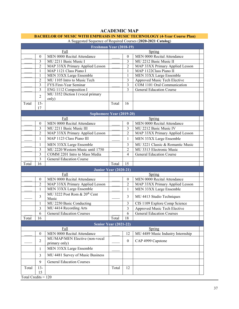#### **ACADEMIC MAP**

#### **BACHELOR OF MUSIC WITH EMPHASIS IN MUSIC TECHNOLOGY (4-Year Course Plan)**

| A suggested sequence of required courses (2020-2021 Catalog)<br>Freshman Year (2018-19) |                  |                                                   |       |                          |                                   |
|-----------------------------------------------------------------------------------------|------------------|---------------------------------------------------|-------|--------------------------|-----------------------------------|
| Fall<br>Spring                                                                          |                  |                                                   |       |                          |                                   |
|                                                                                         | $\mathbf{0}$     | MEN 0000 Recital Attendance                       |       | $\mathbf{0}$             | MEN 0000 Recital Attendance       |
|                                                                                         | $\overline{3}$   | MU 2211 Basic Music I                             |       | 3                        | MU 2212 Basic Music II            |
|                                                                                         | $\overline{2}$   | MAP 33XX Primary Applied Lesson                   |       | $\overline{2}$           | MAP 33XX Primary Applied Lesson   |
|                                                                                         | 1                | MAP 1121 Class Piano I                            |       | 1                        | MAP 1122Class Piano II            |
|                                                                                         | 1                | MEN 33XX Large Ensemble                           |       | 1                        | MEN 33XX Large Ensemble           |
|                                                                                         | $\overline{2}$   | MU 1105 Intro to Music Tech                       |       | 3                        | Approved Music Tech Elective      |
|                                                                                         | $\overline{3}$   | FYS First-Year Seminar                            |       | $\mathfrak{Z}$           | COM 1101 Oral Communication       |
|                                                                                         | $\overline{3}$   | ENG 1112 Composition I                            |       | 3                        | <b>General Education Course</b>   |
|                                                                                         | $\overline{2}$   | MU 3352 Diction I (vocal primary<br>only)         |       |                          |                                   |
| Total                                                                                   | $15 -$<br>17     |                                                   | Total | 16                       |                                   |
|                                                                                         |                  | Sophomore Year (2019-20)                          |       |                          |                                   |
|                                                                                         |                  | Fall                                              |       |                          | Spring                            |
|                                                                                         | $\boldsymbol{0}$ | MEN 0000 Recital Attendance                       |       | $\boldsymbol{0}$         | MEN 0000 Recital Attendance       |
|                                                                                         | 3                | MU 2211 Basic Music III                           |       | $\mathfrak{Z}$           | MU 2212 Basic Music IV            |
|                                                                                         | $\overline{2}$   | MAP 33XX Primary Applied Lesson                   |       | $\overline{c}$           | MAP 33XX Primary Applied Lesson   |
|                                                                                         | 1                | MAP 1123 Class Piano III                          |       | 1                        | MEN 33XX Large Ensemble           |
|                                                                                         | 1                | MEN 33XX Large Ensemble                           |       | $\overline{3}$           | MU 3221 Classic & Romantic Music  |
|                                                                                         | $\mathfrak{Z}$   | MU 2220 Western Music until 1750                  |       | $\overline{2}$           | MU 3313 Electronic Music          |
|                                                                                         | 3                | COMM 2201 Intro to Mass Media                     |       | $\overline{\mathcal{L}}$ | General Education Course          |
|                                                                                         | 3                | <b>General Education Course</b>                   |       |                          |                                   |
| Total                                                                                   | 16               |                                                   | Total | 15                       |                                   |
|                                                                                         |                  | Junior Year (2020-21)                             |       |                          |                                   |
|                                                                                         |                  | Fall                                              |       |                          | Spring                            |
|                                                                                         | $\boldsymbol{0}$ | MEN 0000 Recital Attendance                       |       | $\boldsymbol{0}$         | MEN 0000 Recital Attendance       |
|                                                                                         | $\overline{2}$   | MAP 33XX Primary Applied Lesson                   |       | $\overline{2}$           | MAP 33XX Primary Applied Lesson   |
|                                                                                         | $\mathbf{1}$     | MEN 33XX Large Ensemble                           |       | $\mathbf{1}$             | MEN 33XX Large Ensemble           |
|                                                                                         | $\overline{3}$   | MU 3222 Post Rom & 20 <sup>th</sup> Cent<br>Music |       | $\overline{3}$           | MU 4413 Studio Techniques         |
|                                                                                         | 1                | MU 2250 Basic Conducting                          |       | 3                        | CIS 1109 Explore Comp Science     |
|                                                                                         | 3                | MU 4414 Recording Arts                            |       | 3                        | Approved Music Tech Elective      |
|                                                                                         | 6                | <b>General Education Courses</b>                  |       | 6                        | <b>General Education Courses</b>  |
| Total                                                                                   | 16               |                                                   | Total | 18                       |                                   |
|                                                                                         |                  | <b>Senior Year (2021-22)</b>                      |       |                          |                                   |
|                                                                                         |                  | Fall                                              |       |                          | Spring                            |
|                                                                                         | $\boldsymbol{0}$ | MEN 0000 Recital Attendance                       |       | 12                       | MU 4489 Music Industry Internship |
|                                                                                         | $\overline{2}$   | MU/MAP/MEN Elective (non-vocal<br>primary only)   |       | $\mathbf{0}$             | CAP 4999 Capstone                 |
|                                                                                         | 1                | MEN 33XX Large Ensemble                           |       |                          |                                   |
|                                                                                         | 3                | MU 4481 Survey of Music Business                  |       |                          |                                   |
|                                                                                         | 9                | <b>General Education Courses</b>                  |       |                          |                                   |
| Total                                                                                   | $13 -$           |                                                   | Total | 12                       |                                   |
|                                                                                         | 15               |                                                   |       |                          |                                   |
| Total Credits = $\overline{120}$                                                        |                  |                                                   |       |                          |                                   |

#### A Suggested Sequence of Required Courses (**2020-2021 Catalog**)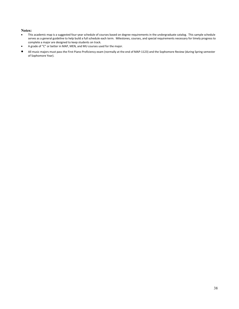#### **Notes:**

- This academic map is a suggested four-year schedule of courses based on degree requirements in the undergraduate catalog. This sample schedule serves as a general guideline to help build a full schedule each term. Milestones, courses, and special requirements necessary for timely progress to complete a major are designed to keep students on track.
- A grade of "C" or better in MAP, MEN, and MU courses used for the major.
- All music majors must pass the First Piano Proficiency exam (normally at the end of MAP-1123) and the Sophomore Review (during Spring semester of Sophomore Year).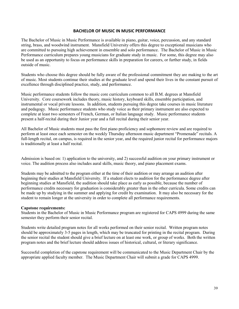#### **BACHELOR OF MUSIC IN MUSIC PERFORMANCE**

The Bachelor of Music in Music Performance is available in piano, guitar, voice, percussion, and any standard string, brass, and woodwind instrument. Mansfield University offers this degree to exceptional musicians who are committed to pursuing high achievement in ensemble and solo performance. The Bachelor of Music in Music Performance curriculum prepares young musicians for graduate study in music. For some, this degree may also be used as an opportunity to focus on performance skills in preparation for careers, or further study, in fields outside of music.

Students who choose this degree should be fully aware of the professional commitment they are making to the art of music. Most students continue their studies at the graduate level and spend their lives in the constant pursuit of excellence through disciplined practice, study, and performance.

Music performance students follow the music core curriculum common to all B.M. degrees at Mansfield University. Core coursework includes theory, music history, keyboard skills, ensemble participation, and instrumental or vocal private lessons. In addition, students pursuing this degree take courses in music literature and pedagogy. Music performance students who study voice as their primary instrument are also expected to complete at least two semesters of French, German, or Italian language study. Music performance students present a half-recital during their Junior year and a full recital during their senior year.

All Bachelor of Music students must pass the first piano proficiency and sophomore review and are required to perform at least once each semester on the weekly Thursday afternoon music department "Promenade" recitals. A full-length recital, on campus, is required in the senior year, and the required junior recital for performance majors is traditionally at least a half recital.

Admission is based on: 1) application to the university, and 2) successful audition on your primary instrument or voice. The audition process also includes aural skills, music theory, and piano placement exams.

Students may be admitted to the program either at the time of their audition or may arrange an audition after beginning their studies at Mansfield University. If a student elects to audition for the performance degree after beginning studies at Mansfield, the audition should take place as early as possible, because the number of performance credits necessary for graduation is considerably greater than in the other curricula. Some credits can be made up by studying in the summer and applying for credit by examination. It may also be necessary for the student to remain longer at the university in order to complete all performance requirements.

#### **Capstone requirements:**

Students in the Bachelor of Music in Music Performance program are registered for CAPS 4999 during the same semester they perform their senior recital.

Students write detailed program notes for all works performed on their senior recital. Written program notes should be approximately 3-5 pages in length, which may be truncated for printing in the recital program. During the senior recital the student should give a brief lecture on at least one work, or group of works. Both the written program notes and the brief lecture should address issues of historical, cultural, or literary significance.

Successful completion of the capstone requirement will be communicated to the Music Department Chair by the appropriate applied faculty member. The Music Department Chair will submit a grade for CAPS 4999.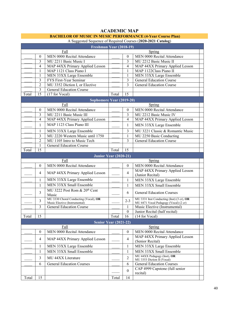| A Suggested Sequence of Required Courses (2020-2021 Catalog) |                  |                                                                        |        |                  |                                                                                    |  |  |
|--------------------------------------------------------------|------------------|------------------------------------------------------------------------|--------|------------------|------------------------------------------------------------------------------------|--|--|
| Freshman Year (2018-19)                                      |                  |                                                                        |        |                  |                                                                                    |  |  |
|                                                              |                  | Fall                                                                   | Spring |                  |                                                                                    |  |  |
|                                                              | 0                | MEN 0000 Recital Attendance                                            |        | $\theta$         | MEN 0000 Recital Attendance                                                        |  |  |
|                                                              | 3                | MU 2211 Basic Music I                                                  |        | 3                | MU 2212 Basic Music II                                                             |  |  |
|                                                              | 4                | MAP 44XX Primary Applied Lesson                                        |        | 4                | MAP 44XX Primary Applied Lesson                                                    |  |  |
|                                                              | 1                | MAP 1121 Class Piano I                                                 |        | 1                | MAP 1122Class Piano II                                                             |  |  |
|                                                              | 1                | MEN 33XX Large Ensemble                                                |        | 1                | MEN 33XX Large Ensemble                                                            |  |  |
|                                                              | 3                | FYS First-Year Seminar                                                 |        | 3                | <b>General Education Course</b>                                                    |  |  |
|                                                              | 2                | MU 3352 Diction I, or Elective                                         |        | 3                | <b>General Education Course</b>                                                    |  |  |
|                                                              | 3                | <b>General Education Course</b>                                        |        |                  |                                                                                    |  |  |
| Total                                                        | 15               | (17 for Vocal)                                                         | Total  | 15               |                                                                                    |  |  |
|                                                              |                  | Sophomore Year (2019-20)                                               |        |                  |                                                                                    |  |  |
|                                                              |                  | Fall                                                                   |        |                  | Spring                                                                             |  |  |
|                                                              | $\mathbf{0}$     | MEN 0000 Recital Attendance                                            |        | $\theta$         | MEN 0000 Recital Attendance                                                        |  |  |
|                                                              | 3                | MU 2211 Basic Music III                                                |        | 3                | MU 2212 Basic Music IV                                                             |  |  |
|                                                              | 4                | MAP 44XX Primary Applied Lesson                                        |        | 4                | MAP 44XX Primary Applied Lesson                                                    |  |  |
|                                                              | 1                | MAP 1123 Class Piano III                                               |        | 1                | MEN 33XX Large Ensemble                                                            |  |  |
|                                                              | 1                | MEN 33XX Large Ensemble                                                |        | 3                | MU 3221 Classic & Romantic Music                                                   |  |  |
|                                                              | 3                | MU 2220 Western Music until 1750                                       |        | 1                | MU 2250 Basic Conducting                                                           |  |  |
|                                                              | $\overline{2}$   | MU 1105 Intro to Music Tech                                            |        | 3                | <b>General Education Course</b>                                                    |  |  |
|                                                              | 1                | <b>General Education Course</b>                                        |        |                  |                                                                                    |  |  |
| Total                                                        | 15               |                                                                        | Total  | 15               |                                                                                    |  |  |
|                                                              |                  | Junior Year (2020-21)                                                  |        |                  |                                                                                    |  |  |
|                                                              |                  | Fall                                                                   |        |                  | Spring                                                                             |  |  |
|                                                              | $\mathbf{0}$     | MEN 0000 Recital Attendance                                            |        | $\mathbf{0}$     | MEN 0000 Recital Attendance                                                        |  |  |
|                                                              |                  |                                                                        |        |                  | MAP 44XX Primary Applied Lesson                                                    |  |  |
|                                                              | 4                | MAP 44XX Primary Applied Lesson                                        |        | $\overline{4}$   | (Junior Recital)                                                                   |  |  |
|                                                              | 1                | MEN 33XX Large Ensemble                                                |        | 1                | MEN 33XX Large Ensemble                                                            |  |  |
|                                                              | 1                | MEN 33XX Small Ensemble                                                |        | 1                | MEN 33XX Small Ensemble                                                            |  |  |
|                                                              | 3                | MU 3222 Post Rom & 20 <sup>th</sup> Cent                               |        | 6                | <b>General Education Courses</b>                                                   |  |  |
|                                                              |                  | Music                                                                  |        |                  |                                                                                    |  |  |
|                                                              | 3                | MU 3330 Choral Conducting (Vocal), OR<br>Music Elective (Instrumental) |        | $2 - 3$          | MU 3331 Inst Conducting (Inst) (3 cr), OR<br>MU 4471 Vocal Pedagogy (Vocal) (2 cr) |  |  |
|                                                              | 3                | <b>General Education Course</b>                                        |        | 1                | Music Elective (Instrumental)                                                      |  |  |
|                                                              |                  |                                                                        |        | $\boldsymbol{0}$ | Junior Recital (half recital)                                                      |  |  |
| Total                                                        | 15               |                                                                        | Total  | 16               | (14 for Vocal)                                                                     |  |  |
|                                                              |                  | <b>Senior Year (2021-22)</b>                                           |        |                  |                                                                                    |  |  |
|                                                              |                  | Fall                                                                   |        |                  | Spring                                                                             |  |  |
|                                                              | $\boldsymbol{0}$ | MEN 0000 Recital Attendance                                            |        | $\mathbf{0}$     | MEN 0000 Recital Attendance                                                        |  |  |
|                                                              | 4                | MAP 44XX Primary Applied Lesson                                        |        | 4                | MAP 44XX Primary Applied Lesson<br>(Senior Recital)                                |  |  |
|                                                              | 1                | MEN 33XX Large Ensemble                                                |        | 1                | MEN 33XX Large Ensemble                                                            |  |  |
|                                                              | 1                | MEN 33XX Small Ensemble                                                |        | 1                | MEN 33XX Small Ensemble                                                            |  |  |
|                                                              | 3                | MU 44XX Literature                                                     |        | $\overline{2}$   | MU 44XX Pedagogy (Inst), OR<br>MU 3353 Diction II (Vocal)                          |  |  |
|                                                              | 6                | <b>General Education Courses</b>                                       |        | 6                | <b>General Education Courses</b>                                                   |  |  |
|                                                              |                  |                                                                        |        |                  | CAP 4999 Capstone (full senior                                                     |  |  |
|                                                              |                  |                                                                        |        | $\mathbf{0}$     | recital)                                                                           |  |  |
| Total                                                        | 15               |                                                                        | Total  | 14               |                                                                                    |  |  |

#### **ACADEMIC MAP BACHELOR OF MUSIC IN MUSIC PERFORMANCE (4-Year Course Plan)**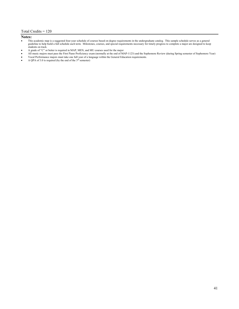#### Total Credits = 120

#### **Notes:**

- This academic map is a suggested four-year schedule of courses based on degree requirements in the undergraduate catalog. This sample schedule serves as a general guideline to help build a full schedule each term. Milestones, courses, and special requirements necessary for timely progress to complete a major are designed to keep students on track.
- A grade of "C" or better is required in MAP, MEN, and MU courses used for the major
- All music majors must pass the First Piano Proficiency exam (normally at the end of MAP-1123) and the Sophomore Review (during Spring semester of Sophomore Year)
- Vocal Performance majors must take one full year of a language within the General Education requirements.
- A QPA of 3.0 is required (by the end of the  $3<sup>rd</sup>$  semester)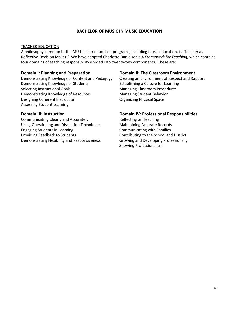#### **BACHELOR OF MUSIC IN MUSIC EDUCATION**

#### TEACHER EDUCATION

A philosophy common to the MU teacher education programs, including music education, is "Teacher as Reflective Decision Maker." We have adopted Charlotte Danielson's *A Framework for Teaching*, which contains four domains of teaching responsibility divided into twenty-two components. These are:

Demonstrating Knowledge of Content and Pedagogy Creating an Environment of Respect and Rapport Demonstrating Knowledge of Students **Establishing a Culture for Learning** Selecting Instructional Goals **Managing Classroom Procedures** Managing Classroom Procedures Demonstrating Knowledge of Resources Managing Student Behavior Designing Coherent Instruction **Conservation** Organizing Physical Space Assessing Student Learning

Communicating Clearly and Accurately **Exercise 20 Figure 21** Reflecting on Teaching Using Questioning and Discussion Techniques Maintaining Accurate Records Engaging Students in Learning Communicating with Families Providing Feedback to Students Contributing to the School and District Demonstrating Flexibility and Responsiveness Growing and Developing Professionally

#### **Domain I: Planning and Preparation Domain II: The Classroom Environment**

#### **Domain III: Instruction Domain IV: Professional Responsibilities**

Showing Professionalism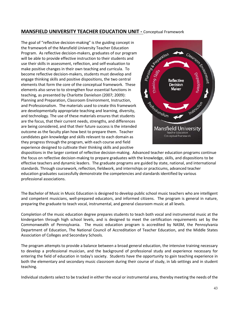#### **MANSFIELD UNIVERSITY TEACHER EDUCATION UNIT -** Conceptual Framework

The goal of "reflective decision-making" is the guiding concept in the framework of the Mansfield University Teacher Education Program. As reflective decision-makers, graduates of our program will be able to provide effective instruction to their students and use their skills in assessment, reflection, and self-evaluation to make positive changes in their own teaching and curricula. To become reflective decision-makers, students must develop and engage thinking skills and positive dispositions, the two central elements that form the core of the conceptual framework. These elements also serve to to strengthen four essential functions in teaching, as presented by Charlotte Danielson (2007; 2009): Planning and Preparation, Classroom Environment, Instruction, and Professionalism. The materials used to create this framework are developmentally appropriate teaching and learning, diversity, and technology. The use of these materials ensures that students are the focus, that their current needs, strengths, and differences are being considered, and that their future success is the intended outcome as the faculty plan how best to prepare them. Teacher candidates gain knowledge and skills relevant to each domain as they progress through the program, with each course and field experience designed to cultivate their thinking skills and positive



dispositions in the larger context of reflective decision-making. Advanced teacher education programs continue the focus on reflective decision-making to prepare graduates with the knowledge, skills, and dispositions to be effective teachers and dynamic leaders. The graduate programs are guided by state, national, and international standards. Through coursework, reflection, fieldwork, and internships or practicums, advanced teacher education graduates successfully demonstrate the competencies and standards identified by various professional associations.

The Bachelor of Music in Music Education is designed to develop public school music teachers who are intelligent and competent musicians, well-prepared educators, and informed citizens. The program is general in nature, preparing the graduate to teach vocal, instrumental, and general classroom music at all levels.

Completion of the music education degree prepares students to teach both vocal and instrumental music at the kindergarten through high school levels, and is designed to meet the certification requirements set by the Commonwealth of Pennsylvania. The music education program is accredited by NASM, the Pennsylvania Department of Education, The National Council of Accreditation of Teacher Education, and the Middle States Association of Colleges and Secondary Schools.

The program attempts to provide a balance between a broad general education, the intensive training necessary to develop a professional musician, and the background of professional study and experience necessary for entering the field of education in today's society. Students have the opportunity to gain teaching experience in both the elementary and secondary music classroom during their course of study, in lab settings and in student teaching.

Individual students select to be tracked in either the vocal or instrumental area, thereby meeting the needs of the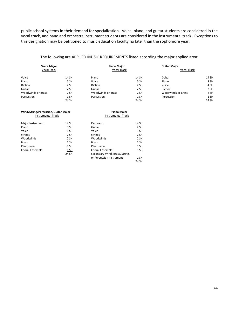public school systems in their demand for specialization. Voice, piano, and guitar students are considered in the vocal track, and band and orchestra instrument students are considered in the instrumental track. Exceptions to this designation may be petitioned to music education faculty no later than the sophomore year.

#### The following are APPLIED MUSIC REQUIREMENTS listed according the major applied area:

|                           | <b>Voice Major</b><br><b>Vocal Track</b> |       | <b>Piano Major</b><br><b>Vocal Track</b> |             | <b>Guitar Major</b><br><b>Vocal Track</b> |             |
|---------------------------|------------------------------------------|-------|------------------------------------------|-------------|-------------------------------------------|-------------|
| Voice                     |                                          | 14 SH | Piano                                    | 14 SH       | Guitar                                    | 14 SH       |
| Piano                     |                                          | 5 SH  | Voice                                    | 5 SH        | Piano                                     | 3 SH        |
| Diction                   |                                          | 2 SH  | Diction                                  | 2 SH        | Voice                                     | 4 SH        |
| Guitar                    |                                          | 2 SH  | Guitar                                   | 2 SH        | <b>Diction</b>                            | 2 SH        |
| <b>Woodwinds or Brass</b> |                                          | 2 SH  | <b>Woodwinds or Brass</b>                | 2 SH        | <b>Woodwinds or Brass</b>                 | 2 SH        |
| Percussion                |                                          | 1 SH  | Percussion                               | <u>1 SH</u> | Percussion                                | <u>1 SH</u> |
|                           |                                          | 24 SH |                                          | 24 SH       |                                           | 24 SH       |

| Wind/String/Percussion/Guitar Major<br><b>Instrumental Track</b> |       | <b>Piano Major</b><br><b>Instrumental Track</b> |       |  |
|------------------------------------------------------------------|-------|-------------------------------------------------|-------|--|
| Major Instrument                                                 | 14 SH | Keyboard                                        | 14 SH |  |
| Piano                                                            | 3 SH  | Guitar                                          | 2 SH  |  |
| Voice I                                                          | 1 SH  | Voice                                           | 1 SH  |  |
| Strings                                                          | 2 SH  | <b>Strings</b>                                  | 2 SH  |  |
| Woodwinds                                                        | 2 SH  | Woodwinds                                       | 2 SH  |  |
| Brass                                                            | 2 SH  | <b>Brass</b>                                    | 2 SH  |  |
| Percussion                                                       | 1 SH  | Percussion                                      | 1 SH  |  |
| <b>Choral Ensemble</b>                                           | 1 SH  | <b>Choral Ensemble</b>                          | 1 SH  |  |
|                                                                  | 24 SH | Secondary Wind, Brass, String,                  |       |  |
|                                                                  |       | or Percussion instrument                        | 1 SH  |  |
|                                                                  |       |                                                 | 24 SH |  |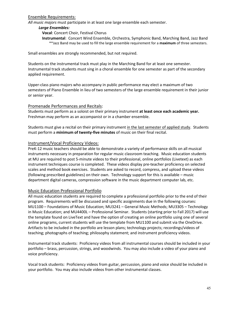#### Ensemble Requirements:

*All music majors* must participate in at least one large ensemble each semester.

#### *Large Ensembles:*

**Vocal**: Concert Choir, Festival Chorus

**Instrumental**: Concert Wind Ensemble, Orchestra, Symphonic Band, Marching Band, Jazz Band \*\*Jazz Band may be used to fill the large ensemble requirement for a **maximum** of three semesters.

Small ensembles are strongly recommended, but not required.

Students on the instrumental track must play in the Marching Band for at least one semester. Instrumental track students must sing in a choral ensemble for one semester as part of the secondary applied requirement.

Upper-class piano majors who accompany in public performance may elect a maximum of two semesters of Piano Ensemble in lieu of two semesters of the large ensemble requirement in their junior or senior year.

#### Promenade Performances and Recitals:

Students must perform as a soloist on their primary instrument **at least once each academic year.** Freshman may perform as an accompanist or in a chamber ensemble.

Students must give a recital on their primary instrument in the last semester of applied study. Students must perform a **minimum of twenty-five minutes** of music on their final recital.

#### Instrument/Vocal Proficiency Videos:

PreK-12 music teachers should be able to demonstrate a variety of performance skills on all musical instruments necessary in preparation for regular music classroom teaching. Music education students at MU are required to post 5-minute videos to their professional, online portfolios (Livetext) as each instrument techniques course is completed. These videos display pre-teacher proficiency on selected scales and method book exercises. Students are asked to record, compress, and upload these videos (following prescribed guidelines) on their own. Technology support for this is available – music department digital cameras, compression software in the music department computer lab, etc.

#### Music Education Professional Portfolio

All music education students are required to complete a professional portfolio prior to the end of their program. Requirements will be discussed and specific assignments due in the following courses: MU1100 – Foundations of Music Education; MU3241 – General Music Methods; MU3305 – Technology in Music Education; and MU4400L – Professional Seminar. Students (starting prior to Fall 2017) will use the template found on LiveText and have the option of creating an online portfolio using one of several online programs, current students will use the template from MU1100 and submit via the OneDrive. Artifacts to be included in the portfolio are lesson plans; technology projects; recordings/videos of teaching; photographs of teaching; philosophy statement; and instrument proficiency videos.

Instrumental track students: Proficiency videos from all instrumental courses should be included in your portfolio – brass, percussion, strings, and woodwinds. You may also include a video of your piano and voice proficiency.

Vocal track students: Proficiency videos from guitar, percussion, piano and voice should be included in your portfolio. You may also include videos from other instrumental classes.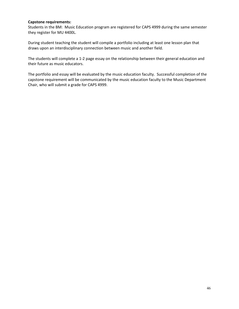#### **Capstone requirements:**

Students in the BM: Music Education program are registered for CAPS 4999 during the same semester they register for MU 4400L.

During student teaching the student will compile a portfolio including at least one lesson plan that draws upon an interdisciplinary connection between music and another field.

The students will complete a 1-2 page essay on the relationship between their general education and their future as music educators.

The portfolio and essay will be evaluated by the music education faculty. Successful completion of the capstone requirement will be communicated by the music education faculty to the Music Department Chair, who will submit a grade for CAPS 4999.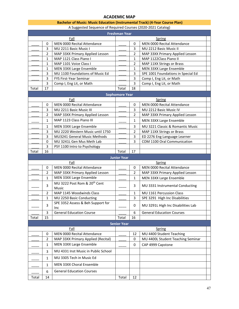#### **ACADEMIC MAP**

#### **Bachelor of Music: Music Education (Instrumental Track) (4-Year Course Plan)**

A Suggested Sequence of Required Courses (2020-2021 Catalog)

| <b>Freshman Year</b> |                |                                                   |                       |                |                                    |  |  |
|----------------------|----------------|---------------------------------------------------|-----------------------|----------------|------------------------------------|--|--|
|                      |                | Fall                                              |                       |                | Spring                             |  |  |
|                      | 0              | MEN 0000 Recital Attendance                       |                       | $\mathbf 0$    | <b>MEN 0000 Recital Attendance</b> |  |  |
|                      | 3              | MU 2211 Basic Music I                             |                       | 3              | MU 2212 Basic Music II             |  |  |
|                      | $\overline{2}$ | MAP 33XX Primary Applied Lesson                   |                       | $\overline{2}$ | MAP 33XX Primary Applied Lesson    |  |  |
|                      | 1              | MAP 1121 Class Piano I                            |                       | 1              | MAP 1122Class Piano II             |  |  |
|                      | 1              | MAP 1101 Voice Class I                            |                       | $\overline{2}$ | MAP 11XX Strings or Brass          |  |  |
|                      | $\mathbf{1}$   | MEN 33XX Large Ensemble                           |                       | 1              | MEN 33XX Large Ensemble            |  |  |
|                      | 3              | MU 1100 Foundations of Music Ed                   |                       | 3              | SPE 1001 Foundations in Special Ed |  |  |
|                      | 3              | FYS First-Year Seminar                            |                       | 3              | Comp I, Eng Lit, or Math           |  |  |
|                      | 3              | Comp I, Eng Lit, or Math                          |                       | $\overline{3}$ | Comp I, Eng Lit, or Math           |  |  |
| Total                | 17             |                                                   | Total                 | 18             |                                    |  |  |
|                      |                |                                                   | <b>Sophomore Year</b> |                |                                    |  |  |
|                      |                | Fall                                              |                       |                | Spring                             |  |  |
|                      | 0              | <b>MEN 0000 Recital Attendance</b>                |                       | $\mathbf 0$    | <b>MEN 0000 Recital Attendance</b> |  |  |
|                      | 3              | MU 2211 Basic Music III                           |                       | 3              | MU 2212 Basic Music IV             |  |  |
|                      | 2              | MAP 33XX Primary Applied Lesson                   |                       | 2              | MAP 33XX Primary Applied Lesson    |  |  |
|                      | 1              | MAP 1123 Class Piano III                          |                       | 1              | MEN 33XX Large Ensemble            |  |  |
|                      | 1              | MEN 33XX Large Ensemble                           |                       | 3              | MU 3221 Classic & Romantic Music   |  |  |
|                      | 3              | MU 2220 Western Music until 1750                  |                       | $\overline{2}$ | MAP 11XX Strings or Brass          |  |  |
|                      | 3              | MU3241 General Music Methods                      |                       | 3              | ED 2276 Eng Language Learner       |  |  |
|                      | 0              | MU 3241L Gen Mus Meth Lab                         |                       | 3              | COM 1100 Oral Communication        |  |  |
|                      | 3              | PSY 1100 Intro to Psychology                      |                       |                |                                    |  |  |
| Total                | 16             |                                                   | Total                 | 17             |                                    |  |  |
| <b>Junior Year</b>   |                |                                                   |                       |                |                                    |  |  |
|                      |                |                                                   |                       |                |                                    |  |  |
|                      |                | Fall                                              |                       |                | Spring                             |  |  |
|                      | 0              | <b>MEN 0000 Recital Attendance</b>                |                       | $\mathbf 0$    | <b>MEN 0000 Recital Attendance</b> |  |  |
|                      | $\overline{2}$ | MAP 33XX Primary Applied Lesson                   |                       | $\overline{2}$ | MAP 33XX Primary Applied Lesson    |  |  |
|                      | 1              | MEN 33XX Large Ensemble                           |                       | 1              | MEN 33XX Large Ensemble            |  |  |
|                      | 3              | MU 3222 Post Rom & 20 <sup>th</sup> Cent<br>Music |                       | 3              | MU 3331 Instrumental Conducting    |  |  |
|                      | $\overline{2}$ | MAP 1145 Woodwinds Class                          |                       | $\mathbf{1}$   | MU 1161 Percussion Class           |  |  |
|                      | 1              | MU 2250 Basic Conducting                          |                       | 3              | SPE 3291 High Inc Disabilities     |  |  |
|                      | 3              | SPE 3352 Assess & Beh Support for<br>Inc          |                       | 0              | MU 3291L High Inc Disabilities Lab |  |  |
|                      | 3              | <b>General Education Course</b>                   |                       | 6              | <b>General Education Courses</b>   |  |  |
| Total                | 15             |                                                   | Total                 | 16             |                                    |  |  |
|                      |                |                                                   | <b>Senior Year</b>    |                |                                    |  |  |
|                      |                | Fall                                              |                       |                | Spring                             |  |  |
|                      | 0              | <b>MEN 0000 Recital Attendance</b>                |                       | 12             | MU 4400 Student Teaching           |  |  |
|                      | 2              | MAP 33XX Primary Applied (Recital)                |                       | 0              | MU 4400L Student Teaching Seminar  |  |  |
|                      | $\mathbf{1}$   | MEN 33XX Large Ensemble                           |                       | 0              | CAP 4999 Capstone                  |  |  |
|                      | 3              | MU 4331 Inst Music in Public School               |                       |                |                                    |  |  |
|                      | 1              | MU 3305 Tech in Music Ed                          |                       |                |                                    |  |  |
|                      | 1              | MEN 33XX Choral Ensemble                          |                       |                |                                    |  |  |
|                      | 6              | <b>General Education Courses</b>                  |                       |                |                                    |  |  |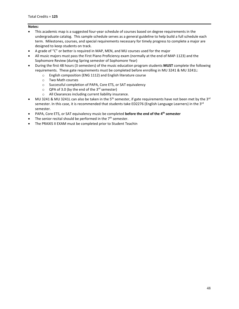#### **Notes:**

- This academic map is a suggested four-year schedule of courses based on degree requirements in the undergraduate catalog. This sample schedule serves as a general guideline to help build a full schedule each term. Milestones, courses, and special requirements necessary for timely progress to complete a major are designed to keep students on track.
- A grade of "C" or better is required in MAP, MEN, and MU courses used for the major
- All music majors must pass the First Piano Proficiency exam (normally at the end of MAP-1123) and the Sophomore Review (during Spring semester of Sophomore Year)
- During the first 48 hours (3 semesters) of the music education program students **MUST** complete the following requirements. These gate requirements must be completed before enrolling in MU 3241 & MU 3241L:
	- o English composition (ENG 1112) and English literature course
	- o Two Math courses
	- o Successful completion of PAPA, Core ETS, or SAT equivalency
	- $\circ$  QPA of 3.0 (by the end of the 3<sup>rd</sup> semester)
	- o All Clearances including current liability insurance.
- MU 3241 & MU 3241L can also be taken in the 5<sup>th</sup> semester, if gate requirements have not been met by the 3<sup>rd</sup> semester. In this case, it is recommended that students take ED2276 (English Language Learners) in the 3<sup>rd</sup> semester.
- PAPA, Core ETS, or SAT equivalency music be completed **before the end of the 4th semester**
- The senior recital should be performed in the  $7<sup>th</sup>$  semester.
- The PRAXIS II EXAM must be completed prior to Student Teachin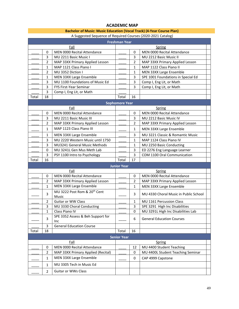#### **ACADEMIC MAP**

| Bachelor of Music: Music Education (Vocal Track) (4-Year Course Plan) |
|-----------------------------------------------------------------------|
| A Suggested Sequence of Required Courses (2020-2021 Catalog)          |

| <b>Freshman Year</b> |                |                                                   |                       |                |                                       |  |  |
|----------------------|----------------|---------------------------------------------------|-----------------------|----------------|---------------------------------------|--|--|
|                      |                | <b>Spring</b>                                     |                       |                |                                       |  |  |
|                      | 0              | MEN 0000 Recital Attendance                       |                       | 0              | MEN 0000 Recital Attendance           |  |  |
|                      | 3              | MU 2211 Basic Music I                             |                       | 3              | MU 2212 Basic Music II                |  |  |
|                      | 2              | MAP 33XX Primary Applied Lesson                   |                       | 2              | MAP 33XX Primary Applied Lesson       |  |  |
|                      | 1              | MAP 1121 Class Piano I                            |                       | 1              | MAP 1122 Class Piano II               |  |  |
|                      | 2              | MU 3352 Diction I                                 |                       | $\mathbf{1}$   | MEN 33XX Large Ensemble               |  |  |
|                      | 1              | MEN 33XX Large Ensemble                           |                       | 3              | SPE 1001 Foundations in Special Ed    |  |  |
|                      | 3              | MU 1100 Foundations of Music Ed                   |                       | 3              | Comp I, Eng Lit, or Math              |  |  |
|                      | 3              | FYS First-Year Seminar                            |                       | 3              | Comp I, Eng Lit, or Math              |  |  |
|                      | 3              | Comp I, Eng Lit, or Math                          |                       |                |                                       |  |  |
| Total                | 18             |                                                   | Total                 | 16             |                                       |  |  |
|                      |                |                                                   | <b>Sophomore Year</b> |                |                                       |  |  |
|                      |                | Fall                                              |                       |                | <b>Spring</b>                         |  |  |
|                      | 0              | MEN 0000 Recital Attendance                       |                       | 0              | <b>MEN 0000 Recital Attendance</b>    |  |  |
|                      | 3              | MU 2211 Basic Music III                           |                       | 3              | MU 2212 Basic Music IV                |  |  |
|                      | $\overline{2}$ | MAP 33XX Primary Applied Lesson                   |                       | $\overline{2}$ | MAP 33XX Primary Applied Lesson       |  |  |
|                      | $\mathbf{1}$   | MAP 1123 Class Piano III                          |                       | 1              | MEN 33XX Large Ensemble               |  |  |
|                      | 1              | MEN 33XX Large Ensemble                           |                       | 3              | MU 3221 Classic & Romantic Music      |  |  |
|                      | 3              | MU 2220 Western Music until 1750                  |                       | $\mathbf{1}$   | MAP 1124 Class Piano IV               |  |  |
|                      | 3              | MU3241 General Music Methods                      |                       | $\mathbf{1}$   | MU 2250 Basic Conducting              |  |  |
|                      | 0              | MU 3241L Gen Mus Meth Lab                         |                       | 3              | ED 2276 Eng Language Learner          |  |  |
|                      | 3              | PSY 1100 Intro to Psychology                      |                       | 3              | COM 1100 Oral Communication           |  |  |
| Total                | 16             |                                                   | Total                 | 17             |                                       |  |  |
|                      |                |                                                   | <b>Junior Year</b>    |                |                                       |  |  |
|                      |                | Fall                                              |                       |                | Spring                                |  |  |
|                      | 0              | MEN 0000 Recital Attendance                       |                       | 0              | MEN 0000 Recital Attendance           |  |  |
|                      | 2              | MAP 33XX Primary Applied Lesson                   |                       | 2              | MAP 33XX Primary Applied Lesson       |  |  |
|                      | 1              | MEN 33XX Large Ensemble                           |                       | $\mathbf{1}$   | MEN 33XX Large Ensemble               |  |  |
|                      | 3              | MU 3222 Post Rom & 20 <sup>th</sup> Cent<br>Music |                       | 3              | MU 4330 Choral Music in Public School |  |  |
|                      | 2              | Guitar or WW Class                                |                       | 1              | MU 1161 Percussion Class              |  |  |
|                      | 3              | MU 3330 Choral Conducting                         |                       | 3              | SPE 3291 High Inc Disabilities        |  |  |
|                      | 1              | Class Piano IV                                    |                       | 0              | MU 3291L High Inc Disabilities Lab    |  |  |
|                      | 3              | SPE 3352 Assess & Beh Support for<br>Inc          |                       | 6              | <b>General Education Courses</b>      |  |  |
|                      | 3              | <b>General Education Course</b>                   |                       |                |                                       |  |  |
| Total                | 18             |                                                   | Total                 | 16             |                                       |  |  |
|                      |                |                                                   | <b>Senior Year</b>    |                |                                       |  |  |
|                      |                | Fall                                              |                       |                | Spring                                |  |  |
|                      | 0              | <b>MEN 0000 Recital Attendance</b>                |                       | 12             | MU 4400 Student Teaching              |  |  |
|                      | $\overline{2}$ | MAP 33XX Primary Applied (Recital)                |                       | 0              | MU 4400L Student Teaching Seminar     |  |  |
|                      | 1              | MEN 33XX Large Ensemble                           |                       | 0              | CAP 4999 Capstone                     |  |  |
|                      | 1              | MU 3305 Tech in Music Ed                          |                       |                |                                       |  |  |
|                      | 2              | Guitar or WWs Class                               |                       |                |                                       |  |  |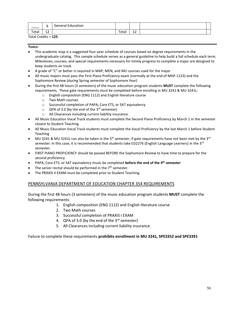| ____  | ີ         | Education<br>General |       |          |  |
|-------|-----------|----------------------|-------|----------|--|
| Total | . .<br>ᅩᄼ |                      | Total | . .<br>ᆠ |  |

Total Credits = **125**

#### **Notes:**

- This academic map is a suggested four-year schedule of courses based on degree requirements in the undergraduate catalog. This sample schedule serves as a general guideline to help build a full schedule each term. Milestones, courses, and special requirements necessary for timely progress to complete a major are designed to keep students on track.
- A grade of "C" or better is required in MAP, MEN, and MU courses used for the major
- All music majors must pass the First Piano Proficiency exam (normally at the end of MAP-1123) and the Sophomore Review (during Spring semester of Sophomore Year)
- During the first 48 hours (3 semesters) of the music education program students **MUST** complete the following requirements. These gate requirements must be completed before enrolling in MU 3241 & MU 3241L:
	- o English composition (ENG 1112) and English literature course
	- o Two Math courses
	- o Successful completion of PAPA, Core ETS, or SAT equivalency
	- $\circ$  QPA of 3.0 (by the end of the 3<sup>rd</sup> semester)
	- o All Clearances including current liability insurance.
- All Music Education Vocal Track students must complete the Second Piano Proficiency by March 1 in the semester closest to Student Teaching
- All Music Education Vocal Track students must complete the Vocal Proficiency by the last March 1 before Student Teaching
- MU 3241 & MU 3241L can also be taken in the 5<sup>th</sup> semester, if gate requirements have not been met by the 3<sup>rd</sup> semester. In this case, it is recommended that students take ED2276 (English Language Learners) in the 3rd semester.
- FIRST PIANO PROFICIENCY should be passed BEFORE the Sophomore Review to have time to prepare for the second proficiency.
- PAPA, Core ETS, or SAT equivalency music be completed **before the end of the 4th semester**
- The senior recital should be performed in the  $7<sup>th</sup>$  semester.
- The PRAXIS II EXAM must be completed prior to Student Teaching.

#### PENNSYLVANIA DEPARTMENT OF EDUCATION CHAPTER 354 REQUIREMENTS

During the first 48 hours (3 semesters) of the music education program students **MUST** complete the following requirements:

- 1. English composition (ENG 1112) and English literature course
- 2. Two Math courses
- 3. Successful completion of PRAXIS I EXAM
- 4. QPA of 3.0 (by the end of the  $3^{rd}$  semester)
- 5. All Clearances including current liability insurance.

Failure to complete these requirements **prohibits enrollment in MU 3241, SPE3352 and SPE3391**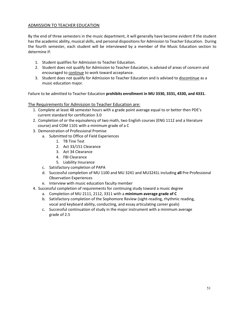#### ADMISSION TO TEACHER EDUCATION

By the end of three semesters in the music department, it will generally have become evident if the student has the academic ability, musical skills, and personal dispositions for Admission to Teacher Education. During the fourth semester, each student will be interviewed by a member of the Music Education section to determine if:

- 1. Student qualifies for Admission to Teacher Education.
- 2. Student does not qualify for Admission to Teacher Education, is advised of areas of concern and encouraged to continue to work toward acceptance.
- 3. Student does not qualify for Admission to Teacher Education and is advised to discontinue as a music education major.

Failure to be admitted to Teacher Education **prohibits enrollment in MU 3330, 3331, 4330, and 4331.**

#### The Requirements for Admission to Teacher Education are:

- 1. Complete at least 48 semester hours with a grade point average equal to or better then PDE's current standard for certification 3.0
- 2. Completion of or the equivalency of two math, two English courses (ENG 1112 and a literature course) and COM 1101 with a minimum grade of a C
- 3. Demonstration of Professional Promise
	- a. Submitted to Office of Field Experiences
		- 1. TB Tine Test
		- 2. Act 33/151 Clearance
		- 3. Act 34 Clearance
		- 4. FBI Clearance
		- 5. Liability Insurance
	- c. Satisfactory completion of PAPA
	- d. Successful completion of MU 1100 and MU 3241 and MU3241L including **all** Pre-Professional Observation Experiences
	- e. Interview with music education faculty member
- 4. Successful completion of requirements for continuing study toward a music degree
	- a. Completion of MU 2111, 2112, 3311 with a **minimum average grade of C**
	- b. Satisfactory completion of the Sophomore Review (sight-reading, rhythmic reading, vocal and keyboard ability, conducting, and essay articulating career goals)
	- c. Successful continuation of study in the major instrument with a minimum average grade of 2.5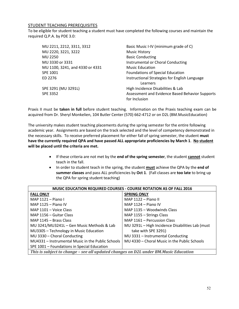#### STUDENT TEACHING PREREQUISITES

To be eligible for student teaching a student must have completed the following courses and maintain the required Q.P.A. by PDE 3.0:

| MU 2211, 2212, 3311, 3312       | Basic Music I-IV (minimum grade of C)           |
|---------------------------------|-------------------------------------------------|
| MU 2220, 3221, 3222             | <b>Music History</b>                            |
| MU 2250                         | <b>Basic Conducting</b>                         |
| MU 3330 or 3331                 | Instrumental or Choral Conducting               |
| MU 1100, 3241, and 4330 or 4331 | <b>Music Education</b>                          |
| SPE 1001                        | <b>Foundations of Special Education</b>         |
| ED 2276                         | Instructional Strategies for English Language   |
|                                 | Learners                                        |
| SPE 3291 (MU 3291L)             | High Incidence Disabilities & Lab               |
| <b>SPE 3352</b>                 | Assessment and Evidence Based Behavior Supports |
|                                 | for Inclusion                                   |

Praxis II must be **taken in full** before student teaching. Information on the Praxis teaching exam can be acquired from Dr. Sheryl Monkelien, 104 Butler Center (570) 662-4712 or on D2L (BM.MusicEducation)

The university makes student teaching placements during the spring semester for the entire following academic year. Assignments are based on the track selected and the level of competency demonstrated in the necessary skills. To receive preferred placement for either fall of spring semester, the student **must have the currently required QPA and have passed ALL appropriate proficiencies by March 1**. **No student will be placed until the criteria are met.**

- If these criteria are not met by the **end of the spring semester**, the student **cannot** student teach in the fall.
- In order to student teach in the spring, the student **must** achieve the QPA by the **end of summer classes** and pass ALL proficiencies by **Oct 1**. (Fall classes are **too late** to bring up the QPA for spring student teaching)

| <b>MUSIC EDUCATION REQUIRED COURSES - COURSE ROTATION AS OF FALL 2016</b>           |                                                  |  |  |  |  |
|-------------------------------------------------------------------------------------|--------------------------------------------------|--|--|--|--|
| <b>FALL ONLY</b>                                                                    | <b>SPRING ONLY</b>                               |  |  |  |  |
| MAP 1121 - Piano I                                                                  | MAP 1122 - Piano II                              |  |  |  |  |
| MAP 1125 - Piano IV                                                                 | MAP $1124 -$ Piano IV                            |  |  |  |  |
| MAP 1101 - Voice Class                                                              | MAP 1135 - Woodwinds Class                       |  |  |  |  |
| MAP 1156 - Guitar Class                                                             | MAP 1155 - Strings Class                         |  |  |  |  |
| MAP 1145 - Brass Class                                                              | MAP 1161 - Percussion Class                      |  |  |  |  |
| MU 3241/MU3241L - Gen Music Methods & Lab                                           | MU 3291L - High Incidence Disabilities Lab (must |  |  |  |  |
| MU3305 - Technology in Music Education                                              | take with SPE 3291)                              |  |  |  |  |
| MU 3330 - Choral Conducting                                                         | MU 3331 - Instrumental Conducting                |  |  |  |  |
| MU4331 - Instrumental Music in the Public Schools                                   | MU 4330 - Choral Music in the Public Schools     |  |  |  |  |
| SPE 1001 - Foundations in Special Education                                         |                                                  |  |  |  |  |
| This is subject to change - see all updated changes on D2L under BM.Music Education |                                                  |  |  |  |  |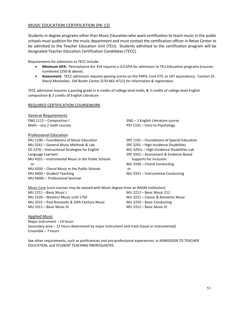#### MUSIC EDUCATION CERTIFICATION (PK-12)

Students in degree programs other than Music Education who want certification to teach music in the public schools must audition for the music department and must contact the certification officer in Retan Center to be admitted to the Teacher Education Unit (TEU). Students admitted to the certification program will be designated Teacher Education Certification Candidates (TECC).

Requirements for admission to TECC include:

- **Minimum GPA:** Pennsylvania Act 354 requires a 3.0 GPA for admission to TEU Education programs (courses numbered 2250 & above).
- **Assessment:** TECC admission requires passing scores on the PAPA, Core ETS, or SAT equivalency. Contact Dr. Sheryl Monkelien, 104 Butler Center (570-662-4712) for information & registration.

TECC admission requires a passing grade in 6 credits of college level math, & 3 credits of college level English composition & 3 credits of English Literature

#### REQUIRED CERTIFICATION COURSEWORK

General Requirements

Professional Education MU 1100 – Foundations of Music Education SPE 1101 – Foundations of Special Education MU 3241 – General Music Methods & Lab SPE 3291 – High Incidence Disabilities ED 2276 – Instructional Strategies for English MU 3291L – High Incidence Disabilities Lab Language Learners **SPE 3352 – Assessment & Evidence Based** MU 4331 – Instrumental Music in the Public Schools Supports for Inclusion or MU 3330 – Choral Conducting MU 4330 – Choral Music in the Public Schools or MU 4400 – Student Teaching MU 3331 – Instrumental Conducting MU 4400L – Professional Seminar

ENG 1112 – Composition I ENG – 1 English Literature course Math – any 2 math courses **PSY 1101** – Intro to Psychology

| Music Core (core courses may be waived with Music degree from an NASM institution) |                                    |
|------------------------------------------------------------------------------------|------------------------------------|
| MU 2211 – Basic Music I                                                            | MU 2212 – Basic Music 212          |
| MU 2220 – Western Music until 1750                                                 | MU 3221 – Classic & Romantic Music |
| MU 3222 - Post Romantic & 20th Century Music                                       | MU 2250 - Basic Conducting         |
| MU 3311 – Basic Music III                                                          | MU 3312 – Basic Music IV           |

Applied Music

Major instrument – 14 hours Secondary area – 12 hours determined by major instrument and track (vocal or instrumental) Ensemble – 7 hours

See other requirements, such as proficiencies and pre-professional experiences, in ADMISSION TO TEACHER EDUCATION, and STUDENT TEACHING PREREQUISITES.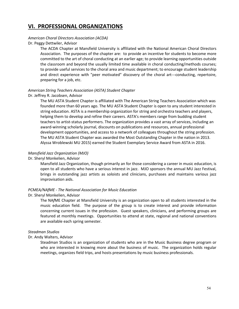# **VI. PROFESSIONAL ORGANIZATIONS**

#### *American Choral Directors Association (ACDA)*

Dr. Peggy Dettwiler, Advisor

The ACDA Chapter at Mansfield University is affiliated with the National American Choral Directors Association. The purposes of the chapter are: to provide an incentive for students to become more committed to the art of choral conducting at an earlier age; to provide learning opportunities outside the classroom and beyond the usually limited time available in choral conducting/methods courses; to provide useful services to the choral area and music department; to encourage student leadership and direct experience with "peer motivated" discovery of the choral art---conducting, repertoire, preparing for a job, etc.

#### *American String Teachers Association (ASTA) Student Chapter*

#### Dr. Jeffrey R. Jacobsen, Advisor

The MU ASTA Student Chapter is affiliated with The American String Teachers Association which was founded more than 60 years ago. The MU ASTA Student Chapter is open to any student interested in string education. ASTA is a membership organization for string and orchestra teachers and players, helping them to develop and refine their careers. ASTA's members range from budding student teachers to artist-status performers. The organization provides a vast array of services, including an award-winning scholarly journal, discounts on publications and resources, annual professional development opportunities, and access to a network of colleagues throughout the string profession. The MU ASTA Student Chapter was awarded the Most Outstanding Chapter in the nation in 2013. Alyssa Wroblewski MU 2015) earned the Student Exemplary Service Award from ASTA in 2016.

#### *Mansfield Jazz Organization (MJO)*

#### Dr. Sheryl Monkelien, Advisor

Mansfield Jazz Organization, though primarily an for those considering a career in music education, is open to all students who have a serious interest in jazz. MJO sponsors the annual MU Jazz Festival, brings in outstanding jazz artists as soloists and clinicians, purchases and maintains various jazz improvisation aids.

#### *PCMEA/NAfME - The National Association for Music Education*

#### Dr. Sheryl Monkelien, Advisor

The NA*f*ME Chapter at Mansfield University is an organization open to all students interested in the music education field. The purpose of the group is to create interest and provide information concerning current issues in the profession. Guest speakers, clinicians, and performing groups are featured at monthly meetings. Opportunities to attend at state, regional and national conventions are available each spring semester.

#### *Steadman Studios*

#### Dr. Andy Walters, Advisor

Steadman Studios is an organization of students who are in the Music Business degree program or who are interested in knowing more about the business of music. The organization holds regular meetings, organizes field trips, and hosts presentations by music business professionals.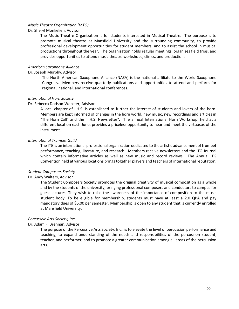#### *Music Theatre Organization (MTO)*

#### Dr. Sheryl Monkelien, Advisor

The Music Theatre Organization is for students interested in Musical Theatre. The purpose is to promote musical theatre at Mansfield University and the surrounding community, to provide professional development opportunities for student members, and to assist the school in musical productions throughout the year. The organization holds regular meetings, organizes field trips, and provides opportunities to attend music theatre workshops, clinics, and productions.

#### *American Saxophone Alliance*

#### Dr. Joseph Murphy, Advisor

The North American Saxophone Alliance (NASA) is the national affiliate to the World Saxophone Congress. Members receive quarterly publications and opportunities to attend and perform for regional, national, and international conferences.

#### *International Horn Society*

#### Dr. Rebecca Dodson-Webster, Advisor

A local chapter of I.H.S. is established to further the interest of students and lovers of the horn. Members are kept informed of changes in the horn world, new music, new recordings and articles in "The Horn Call" and the "I.H.S. Newsletter". The annual International Horn Workshop, held at a different location each June, provides a priceless opportunity to hear and meet the virtuosos of the instrument.

#### *International Trumpet Guild*

The ITG is an international professional organization dedicated to the artistic advancement of trumpet performance, teaching, literature, and research. Members receive newsletters and the ITG Journal which contain informative articles as well as new music and record reviews. The Annual ITG Convention held at various locations brings together players and teachers of international reputation.

#### *Student Composers Society*

#### Dr. Andy Walters, Advisor

The Student Composers Society promotes the original creativity of musical composition as a whole and by the students of the university; bringing professional composers and conductors to campus for guest lectures. They wish to raise the awareness of the importance of composition to the music student body. To be eligible for membership, students must have at least a 2.0 QPA and pay mandatory dues of \$5.00 per semester. Membership is open to any student that is currently enrolled at Mansfield University.

#### *Percussive Arts Society, Inc.*

#### Dr. Adam F. Brennan, Advisor

The purpose of the Percussive Arts Society, Inc., is to elevate the level of percussion performance and teaching, to expand understanding of the needs and responsibilities of the percussion student, teacher, and performer, and to promote a greater communication among all areas of the percussion arts.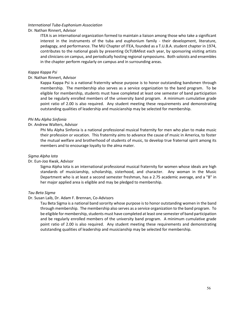#### *International Tuba-Euphonium Association*

#### Dr. Nathan Rinnert, Advisor

ITEA is an international organization formed to maintain a liaison among those who take a significant interest in the instruments of the tuba and euphonium family - their development, literature, pedagogy, and performance. The MU Chapter of ITEA, founded as a T.U.B.A. student chapter in 1974, contributes to the national goals by presenting OcTUBAfest each year, by sponsoring visiting artists and clinicians on campus, and periodically hosting regional symposiums. Both soloists and ensembles in the chapter perform regularly on campus and in surrounding areas.

#### *Kappa Kappa Psi*

#### Dr. Nathan Rinnert, Advisor

Kappa Kappa Psi is a national fraternity whose purpose is to honor outstanding bandsmen through membership. The membership also serves as a service organization to the band program. To be eligible for membership, students must have completed at least one semester of band participation and be regularly enrolled members of the university band program. A minimum cumulative grade point ratio of 2.00 is also required. Any student meeting these requirements and demonstrating outstanding qualities of leadership and musicianship may be selected for membership.

#### *Phi Mu Alpha Sinfonia*

#### Dr. Andrew Walters, Advisor

Phi Mu Alpha Sinfonia is a national professional musical fraternity for men who plan to make music their profession or vocation. This fraternity aims to advance the cause of music in America, to foster the mutual welfare and brotherhood of students of music, to develop true fraternal spirit among its members and to encourage loyalty to the alma mater.

#### *Sigma Alpha Iota*

#### Dr. Eun-Joo Kwak, Advisor

Sigma Alpha Iota is an international professional musical fraternity for women whose ideals are high standards of musicianship, scholarship, sisterhood, and character. Any woman in the Music Department who is at least a second semester freshman, has a 2.75 academic average, and a "B" in her major applied area is eligible and may be pledged to membership.

#### *Tau Beta Sigma*

#### Dr. Susan Laib, Dr. Adam F. Brennan, Co-Advisors

Tau Beta Sigma is a national band sorority whose purpose is to honor outstanding women in the band through membership. The membership also serves as a service organization to the band program. To be eligible for membership, students must have completed at least one semester of band participation and be regularly enrolled members of the university band program. A minimum cumulative grade point ratio of 2.00 is also required. Any student meeting these requirements and demonstrating outstanding qualities of leadership and musicianship may be selected for membership.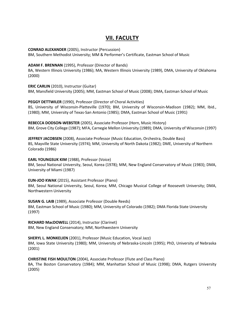# **VII. FACULTY**

**CONRAD ALEXANDER** (2005), Instructor (Percussion)

BM, Southern Methodist University; MM & Performer's Certificate, Eastman School of Music

**ADAM F. BRENNAN** (1995), Professor (Director of Bands)

BA, Western Illinois University (1986); MA, Western Illinois University (1989), DMA, University of Oklahoma (2000)

**ERIC CARLIN** (2010), Instructor (Guitar) BM, Mansfield University (2005); MM, Eastman School of Music (2008); DMA, Eastman School of Music

**PEGGY DETTWILER** (1990), Professor (Director of Choral Activities) BS, University of Wisconsin-Platteville (1970); BM, University of Wisconsin-Madison (1982); MM, Ibid., (1980); MM, University of Texas-San Antonio (1985); DMA, Eastman School of Music (1991)

**REBECCA DODSON-WEBSTER** (2005), Associate Professor (Horn, Music History) BM, Grove City College (1987); MFA, Carnegie Mellon University (1989); DMA, University of Wisconsin (1997)

**JEFFREY JACOBSEN** (2008), Associate Professor (Music Education, Orchestra, Double Bass) BS, Mayville State University (1974); MM, University of North Dakota (1982); DME, University of Northern Colorado (1986)

**EARL YOUNGSUK KIM** (1988), Professor (Voice)

BM, Seoul National University, Seoul, Korea (1978); MM, New England Conservatory of Music (1983); DMA, University of Miami (1987)

**EUN-JOO KWAK** (2015), Assistant Professor (Piano) BM, Seoul National University, Seoul, Korea; MM, Chicago Musical College of Roosevelt University; DMA, Northwestern University

**SUSAN G. LAIB** (1989), Associate Professor (Double Reeds) BM, Eastman School of Music (1980); MM, University of Colorado (1982); DMA Florida State University (1997)

**RICHARD MacDOWELL** (2014), Instructor (Clarinet) BM, New England Conservatory; MM, Northwestern University

**SHERYL L. MONKELIEN** (2001), Professor (Music Education, Vocal Jazz) BM, Iowa State University (1980); MM, University of Nebraska-Lincoln (1995); PhD, University of Nebraska (2001)

**CHRISTINE FISH MOULTON** (2004), Associate Professor (Flute and Class Piano) BA, The Boston Conservatory (1984); MM, Manhattan School of Music (1998); DMA, Rutgers University (2005)